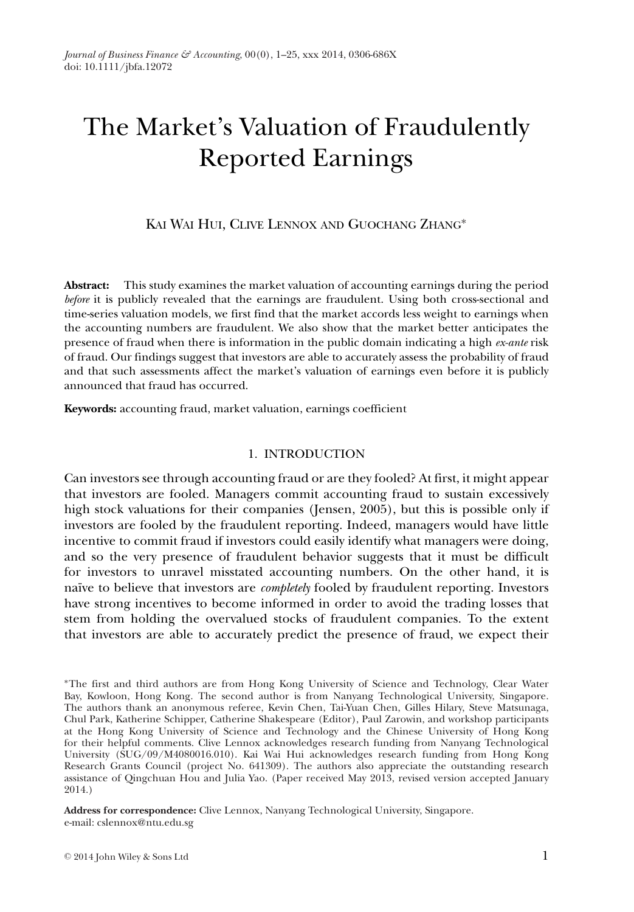# The Market's Valuation of Fraudulently Reported Earnings

KAI WAI HUI, CLIVE LENNOX AND GUOCHANG ZHANG<sup>\*</sup>

**Abstract:** This study examines the market valuation of accounting earnings during the period *before* it is publicly revealed that the earnings are fraudulent. Using both cross-sectional and time-series valuation models, we first find that the market accords less weight to earnings when the accounting numbers are fraudulent. We also show that the market better anticipates the presence of fraud when there is information in the public domain indicating a high *ex-ante* risk of fraud. Our findings suggest that investors are able to accurately assess the probability of fraud and that such assessments affect the market's valuation of earnings even before it is publicly announced that fraud has occurred.

**Keywords:** accounting fraud, market valuation, earnings coefficient

#### 1. INTRODUCTION

Can investors see through accounting fraud or are they fooled? At first, it might appear that investors are fooled. Managers commit accounting fraud to sustain excessively high stock valuations for their companies (Jensen, 2005), but this is possible only if investors are fooled by the fraudulent reporting. Indeed, managers would have little incentive to commit fraud if investors could easily identify what managers were doing, and so the very presence of fraudulent behavior suggests that it must be difficult for investors to unravel misstated accounting numbers. On the other hand, it is naïve to believe that investors are *completely* fooled by fraudulent reporting. Investors have strong incentives to become informed in order to avoid the trading losses that stem from holding the overvalued stocks of fraudulent companies. To the extent that investors are able to accurately predict the presence of fraud, we expect their

<sup>∗</sup>The first and third authors are from Hong Kong University of Science and Technology, Clear Water Bay, Kowloon, Hong Kong. The second author is from Nanyang Technological University, Singapore. The authors thank an anonymous referee, Kevin Chen, Tai-Yuan Chen, Gilles Hilary, Steve Matsunaga, Chul Park, Katherine Schipper, Catherine Shakespeare (Editor), Paul Zarowin, and workshop participants at the Hong Kong University of Science and Technology and the Chinese University of Hong Kong for their helpful comments. Clive Lennox acknowledges research funding from Nanyang Technological University (SUG/09/M4080016.010). Kai Wai Hui acknowledges research funding from Hong Kong Research Grants Council (project No. 641309). The authors also appreciate the outstanding research assistance of Qingchuan Hou and Julia Yao. (Paper received May 2013, revised version accepted January 2014.)

**Address for correspondence:** Clive Lennox, Nanyang Technological University, Singapore. e-mail: cslennox@ntu.edu.sg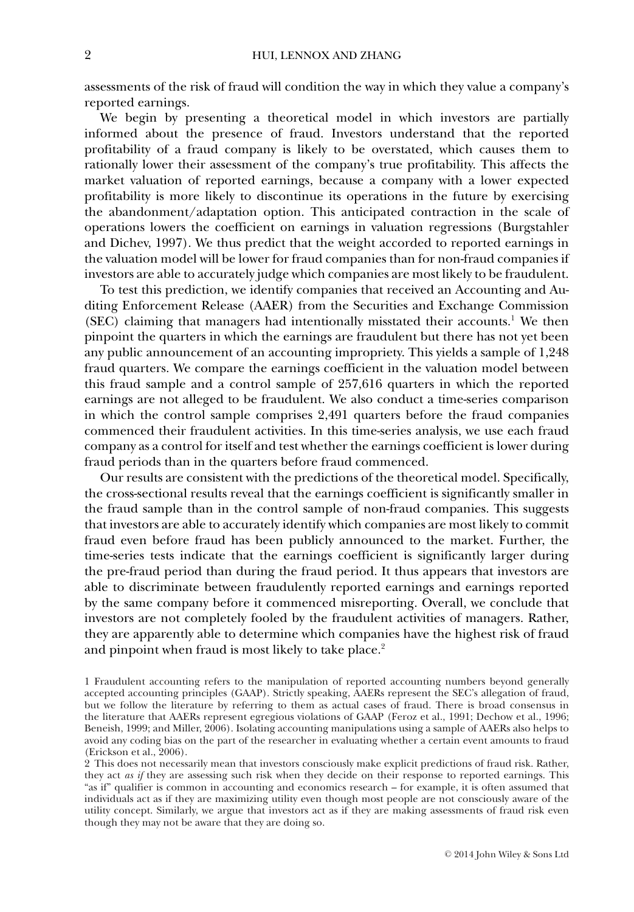assessments of the risk of fraud will condition the way in which they value a company's reported earnings.

We begin by presenting a theoretical model in which investors are partially informed about the presence of fraud. Investors understand that the reported profitability of a fraud company is likely to be overstated, which causes them to rationally lower their assessment of the company's true profitability. This affects the market valuation of reported earnings, because a company with a lower expected profitability is more likely to discontinue its operations in the future by exercising the abandonment/adaptation option. This anticipated contraction in the scale of operations lowers the coefficient on earnings in valuation regressions (Burgstahler and Dichev, 1997). We thus predict that the weight accorded to reported earnings in the valuation model will be lower for fraud companies than for non-fraud companies if investors are able to accurately judge which companies are most likely to be fraudulent.

To test this prediction, we identify companies that received an Accounting and Auditing Enforcement Release (AAER) from the Securities and Exchange Commission  $(SEC)$  claiming that managers had intentionally misstated their accounts.<sup>1</sup> We then pinpoint the quarters in which the earnings are fraudulent but there has not yet been any public announcement of an accounting impropriety. This yields a sample of 1,248 fraud quarters. We compare the earnings coefficient in the valuation model between this fraud sample and a control sample of 257,616 quarters in which the reported earnings are not alleged to be fraudulent. We also conduct a time-series comparison in which the control sample comprises 2,491 quarters before the fraud companies commenced their fraudulent activities. In this time-series analysis, we use each fraud company as a control for itself and test whether the earnings coefficient is lower during fraud periods than in the quarters before fraud commenced.

Our results are consistent with the predictions of the theoretical model. Specifically, the cross-sectional results reveal that the earnings coefficient is significantly smaller in the fraud sample than in the control sample of non-fraud companies. This suggests that investors are able to accurately identify which companies are most likely to commit fraud even before fraud has been publicly announced to the market. Further, the time-series tests indicate that the earnings coefficient is significantly larger during the pre-fraud period than during the fraud period. It thus appears that investors are able to discriminate between fraudulently reported earnings and earnings reported by the same company before it commenced misreporting. Overall, we conclude that investors are not completely fooled by the fraudulent activities of managers. Rather, they are apparently able to determine which companies have the highest risk of fraud and pinpoint when fraud is most likely to take place.<sup>2</sup>

<sup>1</sup> Fraudulent accounting refers to the manipulation of reported accounting numbers beyond generally accepted accounting principles (GAAP). Strictly speaking, AAERs represent the SEC's allegation of fraud, but we follow the literature by referring to them as actual cases of fraud. There is broad consensus in the literature that AAERs represent egregious violations of GAAP (Feroz et al., 1991; Dechow et al., 1996; Beneish, 1999; and Miller, 2006). Isolating accounting manipulations using a sample of AAERs also helps to avoid any coding bias on the part of the researcher in evaluating whether a certain event amounts to fraud (Erickson et al., 2006).

<sup>2</sup> This does not necessarily mean that investors consciously make explicit predictions of fraud risk. Rather, they act *as if* they are assessing such risk when they decide on their response to reported earnings. This "as if" qualifier is common in accounting and economics research – for example, it is often assumed that individuals act as if they are maximizing utility even though most people are not consciously aware of the utility concept. Similarly, we argue that investors act as if they are making assessments of fraud risk even though they may not be aware that they are doing so.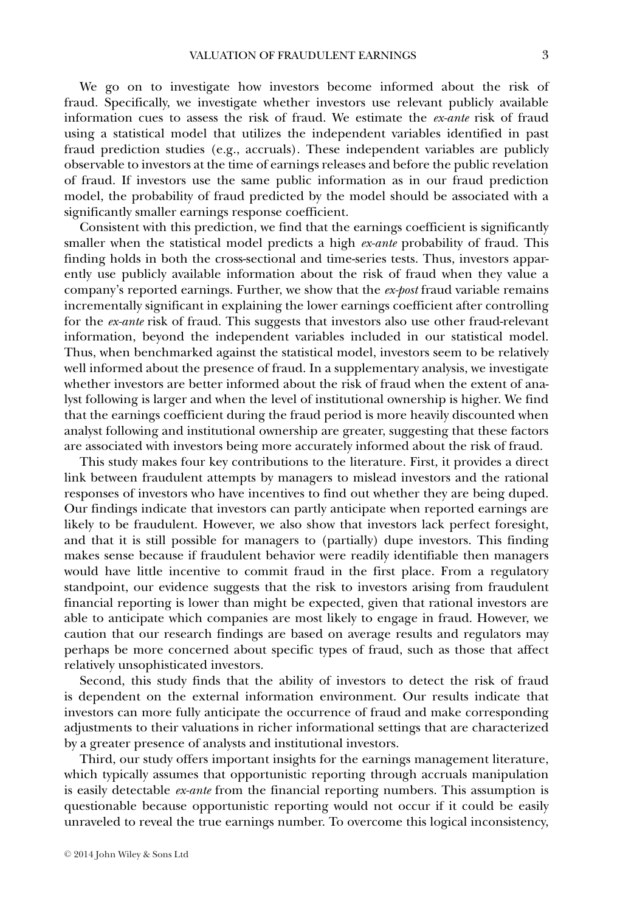We go on to investigate how investors become informed about the risk of fraud. Specifically, we investigate whether investors use relevant publicly available information cues to assess the risk of fraud. We estimate the *ex-ante* risk of fraud using a statistical model that utilizes the independent variables identified in past fraud prediction studies (e.g., accruals). These independent variables are publicly observable to investors at the time of earnings releases and before the public revelation of fraud. If investors use the same public information as in our fraud prediction model, the probability of fraud predicted by the model should be associated with a significantly smaller earnings response coefficient.

Consistent with this prediction, we find that the earnings coefficient is significantly smaller when the statistical model predicts a high *ex-ante* probability of fraud. This finding holds in both the cross-sectional and time-series tests. Thus, investors apparently use publicly available information about the risk of fraud when they value a company's reported earnings. Further, we show that the *ex-post* fraud variable remains incrementally significant in explaining the lower earnings coefficient after controlling for the *ex-ante* risk of fraud. This suggests that investors also use other fraud-relevant information, beyond the independent variables included in our statistical model. Thus, when benchmarked against the statistical model, investors seem to be relatively well informed about the presence of fraud. In a supplementary analysis, we investigate whether investors are better informed about the risk of fraud when the extent of analyst following is larger and when the level of institutional ownership is higher. We find that the earnings coefficient during the fraud period is more heavily discounted when analyst following and institutional ownership are greater, suggesting that these factors are associated with investors being more accurately informed about the risk of fraud.

This study makes four key contributions to the literature. First, it provides a direct link between fraudulent attempts by managers to mislead investors and the rational responses of investors who have incentives to find out whether they are being duped. Our findings indicate that investors can partly anticipate when reported earnings are likely to be fraudulent. However, we also show that investors lack perfect foresight, and that it is still possible for managers to (partially) dupe investors. This finding makes sense because if fraudulent behavior were readily identifiable then managers would have little incentive to commit fraud in the first place. From a regulatory standpoint, our evidence suggests that the risk to investors arising from fraudulent financial reporting is lower than might be expected, given that rational investors are able to anticipate which companies are most likely to engage in fraud. However, we caution that our research findings are based on average results and regulators may perhaps be more concerned about specific types of fraud, such as those that affect relatively unsophisticated investors.

Second, this study finds that the ability of investors to detect the risk of fraud is dependent on the external information environment. Our results indicate that investors can more fully anticipate the occurrence of fraud and make corresponding adjustments to their valuations in richer informational settings that are characterized by a greater presence of analysts and institutional investors.

Third, our study offers important insights for the earnings management literature, which typically assumes that opportunistic reporting through accruals manipulation is easily detectable *ex-ante* from the financial reporting numbers. This assumption is questionable because opportunistic reporting would not occur if it could be easily unraveled to reveal the true earnings number. To overcome this logical inconsistency,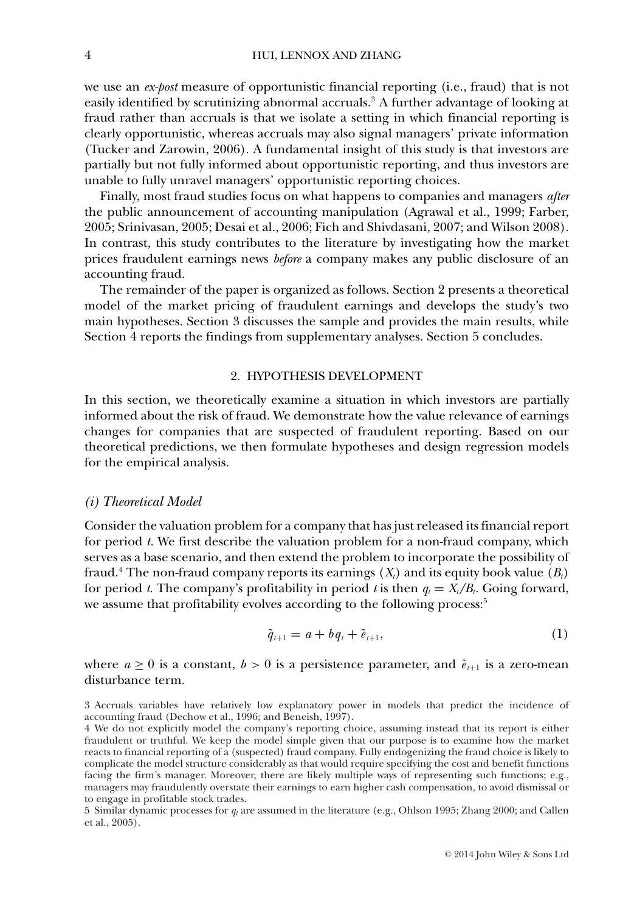we use an *ex-post* measure of opportunistic financial reporting (i.e., fraud) that is not easily identified by scrutinizing abnormal accruals.<sup>3</sup> A further advantage of looking at fraud rather than accruals is that we isolate a setting in which financial reporting is clearly opportunistic, whereas accruals may also signal managers' private information (Tucker and Zarowin, 2006). A fundamental insight of this study is that investors are partially but not fully informed about opportunistic reporting, and thus investors are unable to fully unravel managers' opportunistic reporting choices.

Finally, most fraud studies focus on what happens to companies and managers *after* the public announcement of accounting manipulation (Agrawal et al., 1999; Farber, 2005; Srinivasan, 2005; Desai et al., 2006; Fich and Shivdasani, 2007; and Wilson 2008). In contrast, this study contributes to the literature by investigating how the market prices fraudulent earnings news *before* a company makes any public disclosure of an accounting fraud.

The remainder of the paper is organized as follows. Section 2 presents a theoretical model of the market pricing of fraudulent earnings and develops the study's two main hypotheses. Section 3 discusses the sample and provides the main results, while Section 4 reports the findings from supplementary analyses. Section 5 concludes.

#### 2. HYPOTHESIS DEVELOPMENT

In this section, we theoretically examine a situation in which investors are partially informed about the risk of fraud. We demonstrate how the value relevance of earnings changes for companies that are suspected of fraudulent reporting. Based on our theoretical predictions, we then formulate hypotheses and design regression models for the empirical analysis.

#### *(i) Theoretical Model*

Consider the valuation problem for a company that has just released its financial report for period *t.* We first describe the valuation problem for a non-fraud company, which serves as a base scenario, and then extend the problem to incorporate the possibility of fraud.<sup>4</sup> The non-fraud company reports its earnings  $(X_t)$  and its equity book value  $(B_t)$ for period *t*. The company's profitability in period *t* is then  $q_t = X_t/B_t$ . Going forward, we assume that profitability evolves according to the following process:<sup>5</sup>

$$
\tilde{q}_{t+1} = a + bq_t + \tilde{e}_{t+1},\tag{1}
$$

where  $a \geq 0$  is a constant,  $b > 0$  is a persistence parameter, and  $\tilde{e}_{t+1}$  is a zero-mean disturbance term.

3 Accruals variables have relatively low explanatory power in models that predict the incidence of accounting fraud (Dechow et al., 1996; and Beneish, 1997).

4 We do not explicitly model the company's reporting choice, assuming instead that its report is either fraudulent or truthful. We keep the model simple given that our purpose is to examine how the market reacts to financial reporting of a (suspected) fraud company. Fully endogenizing the fraud choice is likely to complicate the model structure considerably as that would require specifying the cost and benefit functions facing the firm's manager. Moreover, there are likely multiple ways of representing such functions; e.g., managers may fraudulently overstate their earnings to earn higher cash compensation, to avoid dismissal or to engage in profitable stock trades.

5 Similar dynamic processes for *qt* are assumed in the literature (e.g., Ohlson 1995; Zhang 2000; and Callen et al., 2005).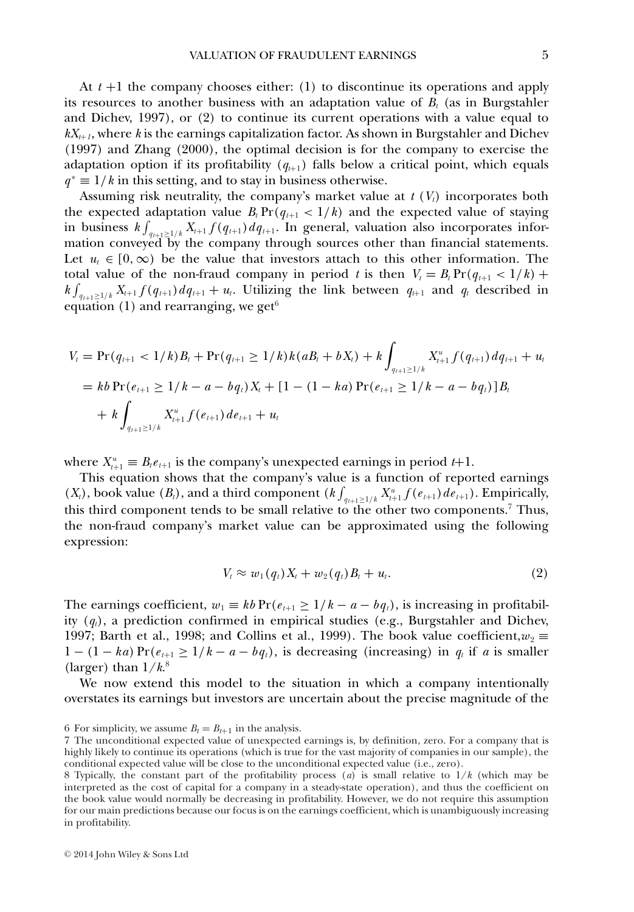At *t* +1 the company chooses either: (1) to discontinue its operations and apply its resources to another business with an adaptation value of  $B<sub>t</sub>$  (as in Burgstahler and Dichev, 1997), or (2) to continue its current operations with a value equal to  $kX_{t+1}$ , where *k* is the earnings capitalization factor. As shown in Burgstahler and Dichev (1997) and Zhang (2000), the optimal decision is for the company to exercise the adaptation option if its profitability  $(q_{t+1})$  falls below a critical point, which equals  $q^* \equiv 1/k$  in this setting, and to stay in business otherwise.

Assuming risk neutrality, the company's market value at  $t(V<sub>t</sub>)$  incorporates both the expected adaptation value  $B_t \Pr(q_{t+1} < 1/k)$  and the expected value of staying in business  $k \int_{q_{t+1} \geq 1/k} X_{t+1} f(q_{t+1}) dq_{t+1}$ . In general, valuation also incorporates information conveyed by the company through sources other than financial statements. Let  $u_t \in [0, \infty)$  be the value that investors attach to this other information. The total value of the non-fraud company in period *t* is then  $V_t = B_t \Pr(q_{t+1} < 1/k)$  +  $k \int_{q_{t+1}\geq 1/k} X_{t+1} f(q_{t+1}) dq_{t+1} + u_t$ . Utilizing the link between  $q_{t+1}$  and  $q_t$  described in equation (1) and rearranging, we get<sup> $6$ </sup>

$$
V_{t} = \Pr(q_{t+1} < 1/k)B_{t} + \Pr(q_{t+1} \ge 1/k)k(aB_{t} + bX_{t}) + k \int_{q_{t+1} \ge 1/k} X_{t+1}^{u} f(q_{t+1}) dq_{t+1} + u_{t}
$$
\n
$$
= kb \Pr(e_{t+1} \ge 1/k - a - bq_{t})X_{t} + [1 - (1 - ka) \Pr(e_{t+1} \ge 1/k - a - bq_{t})]B_{t}
$$
\n
$$
+ k \int_{q_{t+1} \ge 1/k} X_{t+1}^{u} f(e_{t+1}) de_{t+1} + u_{t}
$$

where  $X_{t+1}^u \equiv B_t e_{t+1}$  is the company's unexpected earnings in period  $t+1$ .

This equation shows that the company's value is a function of reported earnings  $(X_t)$ , book value  $(B_t)$ , and a third component  $(k \int_{q_{t+1} \geq 1/k} X_{t+1}^u f(e_{t+1}) de_{t+1})$ . Empirically, this third component tends to be small relative to the other two components.7 Thus, the non-fraud company's market value can be approximated using the following expression:

$$
V_t \approx w_1(q_t)X_t + w_2(q_t)B_t + u_t. \qquad (2)
$$

The earnings coefficient,  $w_1 \equiv kb \Pr(e_{t+1} \geq 1/k - a - bq_t)$ , is increasing in profitability (*qt*), a prediction confirmed in empirical studies (e.g., Burgstahler and Dichev, 1997; Barth et al., 1998; and Collins et al., 1999). The book value coefficient, $w_2 \equiv$ 1 − (1 − *ka*) Pr( $e_{t+1}$  ≥ 1/*k* − *a* − *bq<sub>t</sub>*), is decreasing (increasing) in *q<sub>t</sub>* if *a* is smaller (larger) than 1/*k*. 8

We now extend this model to the situation in which a company intentionally overstates its earnings but investors are uncertain about the precise magnitude of the

<sup>6</sup> For simplicity, we assume  $B_t = B_{t+1}$  in the analysis.

<sup>7</sup> The unconditional expected value of unexpected earnings is, by definition, zero. For a company that is highly likely to continue its operations (which is true for the vast majority of companies in our sample), the conditional expected value will be close to the unconditional expected value (i.e., zero).

<sup>8</sup> Typically, the constant part of the profitability process (*a*) is small relative to 1/*k* (which may be interpreted as the cost of capital for a company in a steady-state operation), and thus the coefficient on the book value would normally be decreasing in profitability. However, we do not require this assumption for our main predictions because our focus is on the earnings coefficient, which is unambiguously increasing in profitability.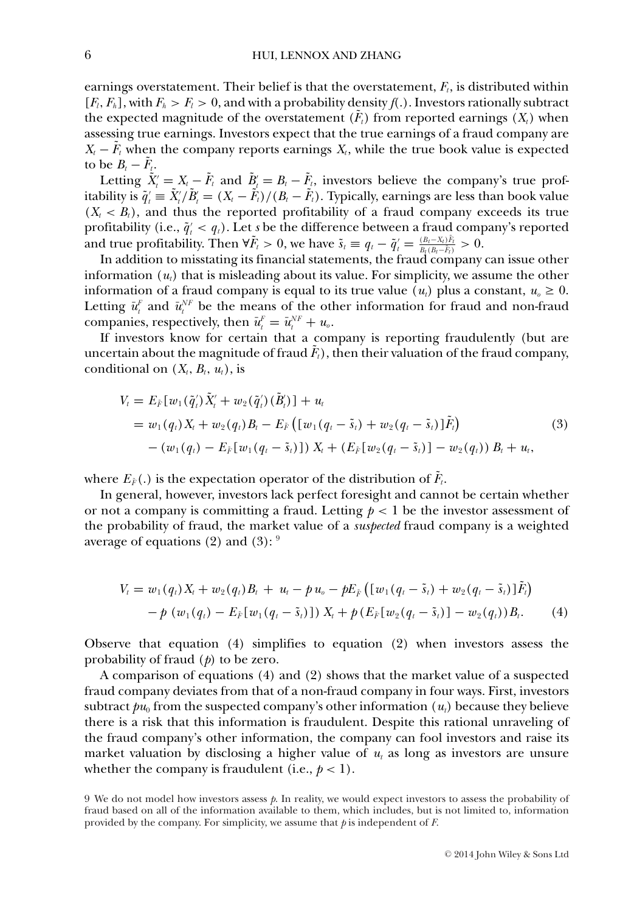earnings overstatement. Their belief is that the overstatement,  $F_t$ , is distributed within  $[F_l, F_h]$ , with  $F_h > F_l > 0$ , and with a probability density  $f_l$ .). Investors rationally subtract the expected magnitude of the overstatement  $(\tilde{F}_t)$  from reported earnings  $(X_t)$  when assessing true earnings. Investors expect that the true earnings of a fraud company are  $X_t - \tilde{F}_t$  when the company reports earnings  $X_t$ , while the true book value is expected to be  $B_t - \tilde{F}_t$ .

Letting  $\tilde{X}'_t = X_t - \tilde{F}_t$  and  $\tilde{B}'_t = B_t - \tilde{F}_t$ , investors believe the company's true profitability is  $\tilde{q}'_i \equiv \tilde{X}'_i/\tilde{B}'_i = (X_i - \tilde{F}_i)/(B_i - \tilde{F}_i)$ . Typically, earnings are less than book value  $(X_t < B_t)$ , and thus the reported profitability of a fraud company exceeds its true profitability (i.e.,  $\tilde{q}'_i < q_i$ ). Let *s* be the difference between a fraud company's reported and true profitability. Then  $\forall \tilde{F}_t > 0$ , we have  $\tilde{s}_t \equiv q_t - \tilde{q}'_t = \frac{(B_t - X_t)\tilde{F}_t}{B_t(B_t - \tilde{F}_t)} > 0$ .

In addition to misstating its financial statements, the fraud company can issue other information  $(u_t)$  that is misleading about its value. For simplicity, we assume the other information of a fraud company is equal to its true value  $(u_i)$  plus a constant,  $u_o \geq 0$ . Letting  $\bar{u}_t^F$  and  $\bar{u}_t^{NF}$  be the means of the other information for fraud and non-fraud companies, respectively, then  $\bar{u}_t^F = \bar{u}_t^{NF} + u_o$ .

If investors know for certain that a company is reporting fraudulently (but are uncertain about the magnitude of fraud  $\tilde{F}_t$ ), then their valuation of the fraud company, conditional on  $(X_t, B_t, u_t)$ , is

$$
V_{t} = E_{\tilde{F}}[w_{1}(\tilde{q}_{t}^{\prime})\tilde{X}_{t}^{\prime} + w_{2}(\tilde{q}_{t}^{\prime})(\tilde{B}_{t}^{\prime})] + u_{t}
$$
  
\n
$$
= w_{1}(q_{t})X_{t} + w_{2}(q_{t})B_{t} - E_{\tilde{F}}([w_{1}(q_{t} - \tilde{s}_{t}) + w_{2}(q_{t} - \tilde{s}_{t})]\tilde{F}_{t})
$$
\n
$$
- (w_{1}(q_{t}) - E_{\tilde{F}}[w_{1}(q_{t} - \tilde{s}_{t})])X_{t} + (E_{\tilde{F}}[w_{2}(q_{t} - \tilde{s}_{t})] - w_{2}(q_{t}))B_{t} + u_{t},
$$
\n(3)

where  $E_{\tilde{F}}(.)$  is the expectation operator of the distribution of  $\tilde{F}_{t}.$ 

In general, however, investors lack perfect foresight and cannot be certain whether or not a company is committing a fraud. Letting  $p < 1$  be the investor assessment of the probability of fraud, the market value of a *suspected* fraud company is a weighted average of equations (2) and (3):  $9$ 

$$
V_{t} = w_{1}(q_{t})X_{t} + w_{2}(q_{t})B_{t} + u_{t} - p u_{o} - p E_{\tilde{F}} ([w_{1}(q_{t} - \tilde{s}_{t}) + w_{2}(q_{t} - \tilde{s}_{t})]\tilde{F}_{t})
$$
  
- p (w\_{1}(q\_{t}) - E\_{\tilde{F}}[w\_{1}(q\_{t} - \tilde{s}\_{t})]) X\_{t} + p (E\_{\tilde{F}}[w\_{2}(q\_{t} - \tilde{s}\_{t})] - w\_{2}(q\_{t}))B\_{t}. (4)

Observe that equation (4) simplifies to equation (2) when investors assess the probability of fraud (*p*) to be zero.

A comparison of equations (4) and (2) shows that the market value of a suspected fraud company deviates from that of a non-fraud company in four ways. First, investors subtract  $pu_0$  from the suspected company's other information  $(u_t)$  because they believe there is a risk that this information is fraudulent. Despite this rational unraveling of the fraud company's other information, the company can fool investors and raise its market valuation by disclosing a higher value of  $u_t$  as long as investors are unsure whether the company is fraudulent (i.e.,  $p < 1$ ).

<sup>9</sup> We do not model how investors assess *p*. In reality, we would expect investors to assess the probability of fraud based on all of the information available to them, which includes, but is not limited to, information provided by the company. For simplicity, we assume that *p* is independent of *F*.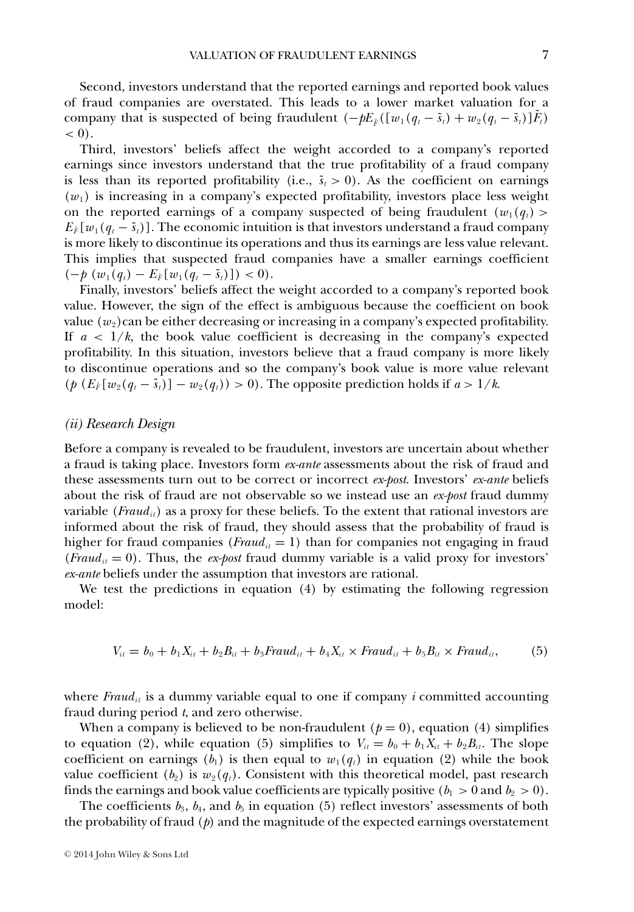Second, investors understand that the reported earnings and reported book values of fraud companies are overstated. This leads to a lower market valuation for a company that is suspected of being fraudulent  $(-pE_{\tilde{F}}([w_1(q_t - \tilde{s}_t) + w_2(q_t - \tilde{s}_t)]\tilde{F}_t)$  $< 0$ ).

Third, investors' beliefs affect the weight accorded to a company's reported earnings since investors understand that the true profitability of a fraud company is less than its reported profitability (i.e.,  $\tilde{s}_t > 0$ ). As the coefficient on earnings  $(w_1)$  is increasing in a company's expected profitability, investors place less weight on the reported earnings of a company suspected of being fraudulent  $(w_1(q_t) >$  $E_{\tilde{F}}[w_1(q_t - \tilde{s}_t)]$ . The economic intuition is that investors understand a fraud company is more likely to discontinue its operations and thus its earnings are less value relevant. This implies that suspected fraud companies have a smaller earnings coefficient  $(-p (w_1(q_t) - E_{\tilde{F}}[w_1(q_t - \tilde{s}_t)]) < 0).$ 

Finally, investors' beliefs affect the weight accorded to a company's reported book value. However, the sign of the effect is ambiguous because the coefficient on book value  $(w_2)$ can be either decreasing or increasing in a company's expected profitability. If  $a < 1/k$ , the book value coefficient is decreasing in the company's expected profitability. In this situation, investors believe that a fraud company is more likely to discontinue operations and so the company's book value is more value relevant  $(p (E_{\tilde{F}}[w_2(q_t - \tilde{s}_t)] - w_2(q_t)) > 0)$ . The opposite prediction holds if  $a > 1/k$ .

#### *(ii) Research Design*

Before a company is revealed to be fraudulent, investors are uncertain about whether a fraud is taking place. Investors form *ex-ante* assessments about the risk of fraud and these assessments turn out to be correct or incorrect *ex-post*. Investors' *ex-ante* beliefs about the risk of fraud are not observable so we instead use an *ex-post* fraud dummy variable ( $\text{Fraud}_{ii}$ ) as a proxy for these beliefs. To the extent that rational investors are informed about the risk of fraud, they should assess that the probability of fraud is higher for fraud companies ( $\text{Fraud}_{it} = 1$ ) than for companies not engaging in fraud  $(Fraud<sub>it</sub> = 0)$ . Thus, the *ex-post* fraud dummy variable is a valid proxy for investors' *ex-ante* beliefs under the assumption that investors are rational.

We test the predictions in equation (4) by estimating the following regression model:

$$
V_{it} = b_0 + b_1 X_{it} + b_2 B_{it} + b_3 Fraud_{it} + b_4 X_{it} \times Fraud_{it} + b_5 B_{it} \times Fraud_{it}, \qquad (5)
$$

where  $\text{Fraud}_{it}$  is a dummy variable equal to one if company *i* committed accounting fraud during period *t*, and zero otherwise.

When a company is believed to be non-fraudulent  $(p = 0)$ , equation (4) simplifies to equation (2), while equation (5) simplifies to  $V_{ii} = b_0 + b_1 X_{ii} + b_2 B_{ii}$ . The slope coefficient on earnings  $(b_1)$  is then equal to  $w_1(q_t)$  in equation (2) while the book value coefficient  $(b_2)$  is  $w_2(q_t)$ . Consistent with this theoretical model, past research finds the earnings and book value coefficients are typically positive  $(b_1 > 0 \text{ and } b_2 > 0)$ .

The coefficients  $b_3$ ,  $b_4$ , and  $b_5$  in equation (5) reflect investors' assessments of both the probability of fraud (*p*) and the magnitude of the expected earnings overstatement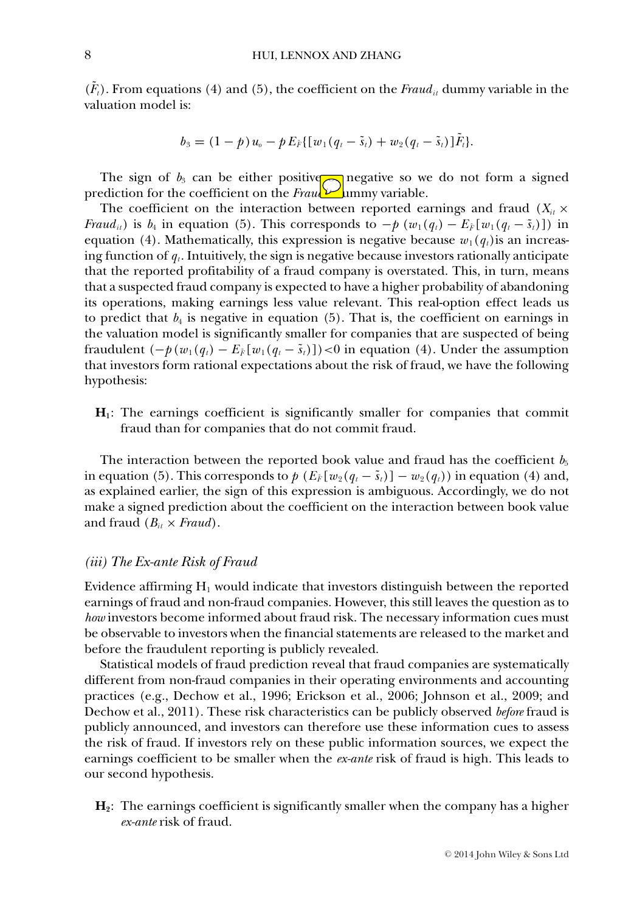$(\tilde{F}_t)$ . From equations (4) and (5), the coefficient on the *Fraud*<sub>it</sub> dummy variable in the valuation model is:

$$
b_3 = (1-p) u_0 - p E_{\tilde{F}} \{ [w_1(q_t - \tilde{s}_t) + w_2(q_t - \tilde{s}_t)] \tilde{F}_t \}.
$$

The sign of  $b_3$  can be either positive or negative so we do not form a signed prediction for the coefficient on the *Fraudit* ummy variable.

The coefficient on the interaction between reported earnings and fraud  $(X_{it} \times$ *Fraud*<sub>*it*</sub>) is *b*<sub>4</sub> in equation (5). This corresponds to  $-p$  (*w*<sub>1</sub>(*q<sub>t</sub>*) − *E*<sub>*F*</sub>[*w*<sub>1</sub>(*q<sub>t</sub>* − *s*<sub>*t*</sub>)]) in equation (4). Mathematically, this expression is negative because  $w_1(q_t)$  is an increasing function of  $q_t$ . Intuitively, the sign is negative because investors rationally anticipate that the reported profitability of a fraud company is overstated. This, in turn, means that a suspected fraud company is expected to have a higher probability of abandoning its operations, making earnings less value relevant. This real-option effect leads us to predict that  $b_4$  is negative in equation (5). That is, the coefficient on earnings in the valuation model is significantly smaller for companies that are suspected of being fraudulent  $(-p(w_1(q_t) - E_{\tilde{F}}[w_1(q_t - \tilde{s}_t)]) < 0$  in equation (4). Under the assumption that investors form rational expectations about the risk of fraud, we have the following hypothesis:

# **H1**: The earnings coefficient is significantly smaller for companies that commit fraud than for companies that do not commit fraud.

The interaction between the reported book value and fraud has the coefficient  $b_5$ in equation (5). This corresponds to  $p \left( E_{\tilde{F}}[\omega_2(q_t - \tilde{s}_t)] - \omega_2(q_t) \right)$  in equation (4) and, as explained earlier, the sign of this expression is ambiguous. Accordingly, we do not make a signed prediction about the coefficient on the interaction between book value and fraud  $(B<sub>it</sub> \times \text{Fraud})$ .

#### *(iii) The Ex-ante Risk of Fraud*

Evidence affirming  $H_1$  would indicate that investors distinguish between the reported earnings of fraud and non-fraud companies. However, this still leaves the question as to *how* investors become informed about fraud risk. The necessary information cues must be observable to investors when the financial statements are released to the market and before the fraudulent reporting is publicly revealed.

Statistical models of fraud prediction reveal that fraud companies are systematically different from non-fraud companies in their operating environments and accounting practices (e.g., Dechow et al., 1996; Erickson et al., 2006; Johnson et al., 2009; and Dechow et al., 2011). These risk characteristics can be publicly observed *before* fraud is publicly announced, and investors can therefore use these information cues to assess the risk of fraud. If investors rely on these public information sources, we expect the earnings coefficient to be smaller when the *ex-ante* risk of fraud is high. This leads to our second hypothesis.

**H2**: The earnings coefficient is significantly smaller when the company has a higher *ex-ante* risk of fraud.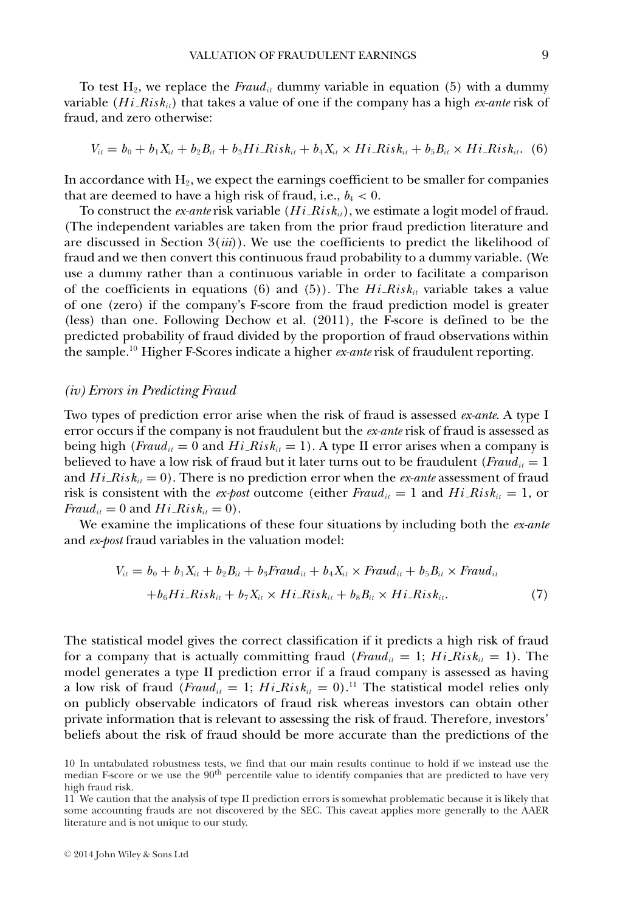To test  $H_2$ , we replace the *Fraud<sub>it</sub>* dummy variable in equation (5) with a dummy variable  $(Hi_R i s_k)$  that takes a value of one if the company has a high *ex-ante* risk of fraud, and zero otherwise:

$$
V_{it} = b_0 + b_1 X_{it} + b_2 B_{it} + b_3 H i_R i s k_{it} + b_4 X_{it} \times H i_R i s k_{it} + b_5 B_{it} \times H i_R i s k_{it}.
$$
 (6)

In accordance with  $H_2$ , we expect the earnings coefficient to be smaller for companies that are deemed to have a high risk of fraud, i.e.,  $b_4 < 0$ .

To construct the *ex-ante* risk variable  $(Hi_Risk_{it})$ , we estimate a logit model of fraud. (The independent variables are taken from the prior fraud prediction literature and are discussed in Section 3(*iii*)). We use the coefficients to predict the likelihood of fraud and we then convert this continuous fraud probability to a dummy variable. (We use a dummy rather than a continuous variable in order to facilitate a comparison of the coefficients in equations (6) and (5)). The  $Hi.Risk_{ii}$  variable takes a value of one (zero) if the company's F-score from the fraud prediction model is greater (less) than one. Following Dechow et al. (2011), the F-score is defined to be the predicted probability of fraud divided by the proportion of fraud observations within the sample.10 Higher F-Scores indicate a higher *ex-ante* risk of fraudulent reporting.

#### *(iv) Errors in Predicting Fraud*

Two types of prediction error arise when the risk of fraud is assessed *ex-ante*. A type I error occurs if the company is not fraudulent but the *ex-ante* risk of fraud is assessed as being high (*Fraud<sub>it</sub>* = 0 and  $Hi\_Risk_{ti} = 1$ ). A type II error arises when a company is believed to have a low risk of fraud but it later turns out to be fraudulent ( $\text{Fraud}_{it} = 1$ ) and  $Hi\_Risk_{it} = 0$ . There is no prediction error when the *ex-ante* assessment of fraud risk is consistent with the *ex-post* outcome (either *Fraud<sub>it</sub>* = 1 and  $Hi\_Risk_{it} = 1$ , or *Fraud<sub>it</sub>* = 0 and  $Hi\_Risk_{it} = 0$ .

We examine the implications of these four situations by including both the *ex-ante* and *ex-post* fraud variables in the valuation model:

$$
V_{it} = b_0 + b_1 X_{it} + b_2 B_{it} + b_3 Fraud_{it} + b_4 X_{it} \times Fraud_{it} + b_5 B_{it} \times Fraud_{it}
$$
  
+ 
$$
b_6 Hi_- Ris k_{it} + b_7 X_{it} \times Hi_- Ris k_{it} + b_8 B_{it} \times Hi_- Ris k_{it}.
$$
 (7)

The statistical model gives the correct classification if it predicts a high risk of fraud for a company that is actually committing fraud (*Fraud<sub>it</sub>* = 1;  $Hi.Risk_{it} = 1$ ). The model generates a type II prediction error if a fraud company is assessed as having a low risk of fraud (*Fraud<sub>it</sub>* = 1;  $Hi\_Risk_{it} = 0$ ).<sup>11</sup> The statistical model relies only on publicly observable indicators of fraud risk whereas investors can obtain other private information that is relevant to assessing the risk of fraud. Therefore, investors' beliefs about the risk of fraud should be more accurate than the predictions of the

<sup>10</sup> In untabulated robustness tests, we find that our main results continue to hold if we instead use the median F-score or we use the 90<sup>th</sup> percentile value to identify companies that are predicted to have very high fraud risk.

<sup>11</sup> We caution that the analysis of type II prediction errors is somewhat problematic because it is likely that some accounting frauds are not discovered by the SEC. This caveat applies more generally to the AAER literature and is not unique to our study.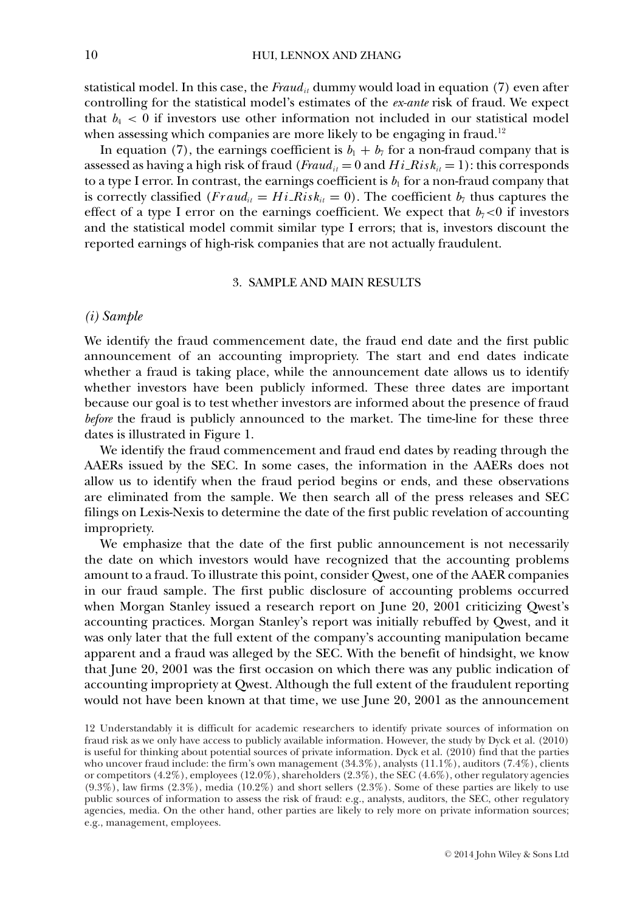statistical model. In this case, the  $\text{Fraud}_{ii}$  dummy would load in equation (7) even after controlling for the statistical model's estimates of the *ex-ante* risk of fraud. We expect that  $b_4 < 0$  if investors use other information not included in our statistical model when assessing which companies are more likely to be engaging in fraud.<sup>12</sup>

In equation (7), the earnings coefficient is  $b_1 + b_7$  for a non-fraud company that is assessed as having a high risk of fraud  $(Fraud_{it} = 0$  and  $Hi\_Risk_{it} = 1)$ : this corresponds to a type I error. In contrast, the earnings coefficient is  $b_1$  for a non-fraud company that is correctly classified  $(Fraud_{ii} = Hi.Risk_{ii} = 0)$ . The coefficient  $b_7$  thus captures the effect of a type I error on the earnings coefficient. We expect that  $b<sub>7</sub> < 0$  if investors and the statistical model commit similar type I errors; that is, investors discount the reported earnings of high-risk companies that are not actually fraudulent.

#### 3. SAMPLE AND MAIN RESULTS

## *(i) Sample*

We identify the fraud commencement date, the fraud end date and the first public announcement of an accounting impropriety. The start and end dates indicate whether a fraud is taking place, while the announcement date allows us to identify whether investors have been publicly informed. These three dates are important because our goal is to test whether investors are informed about the presence of fraud *before* the fraud is publicly announced to the market. The time-line for these three dates is illustrated in Figure 1.

We identify the fraud commencement and fraud end dates by reading through the AAERs issued by the SEC. In some cases, the information in the AAERs does not allow us to identify when the fraud period begins or ends, and these observations are eliminated from the sample. We then search all of the press releases and SEC filings on Lexis-Nexis to determine the date of the first public revelation of accounting impropriety.

We emphasize that the date of the first public announcement is not necessarily the date on which investors would have recognized that the accounting problems amount to a fraud. To illustrate this point, consider Qwest, one of the AAER companies in our fraud sample. The first public disclosure of accounting problems occurred when Morgan Stanley issued a research report on June 20, 2001 criticizing Qwest's accounting practices. Morgan Stanley's report was initially rebuffed by Qwest, and it was only later that the full extent of the company's accounting manipulation became apparent and a fraud was alleged by the SEC. With the benefit of hindsight, we know that June 20, 2001 was the first occasion on which there was any public indication of accounting impropriety at Qwest. Although the full extent of the fraudulent reporting would not have been known at that time, we use June 20, 2001 as the announcement

<sup>12</sup> Understandably it is difficult for academic researchers to identify private sources of information on fraud risk as we only have access to publicly available information. However, the study by Dyck et al. (2010) is useful for thinking about potential sources of private information. Dyck et al. (2010) find that the parties who uncover fraud include: the firm's own management (34.3%), analysts (11.1%), auditors (7.4%), clients or competitors  $(4.2\%)$ , employees  $(12.0\%)$ , shareholders  $(2.3\%)$ , the SEC  $(4.6\%)$ , other regulatory agencies  $(9.3\%)$ , law firms  $(2.3\%)$ , media  $(10.2\%)$  and short sellers  $(2.3\%)$ . Some of these parties are likely to use public sources of information to assess the risk of fraud: e.g., analysts, auditors, the SEC, other regulatory agencies, media. On the other hand, other parties are likely to rely more on private information sources; e.g., management, employees.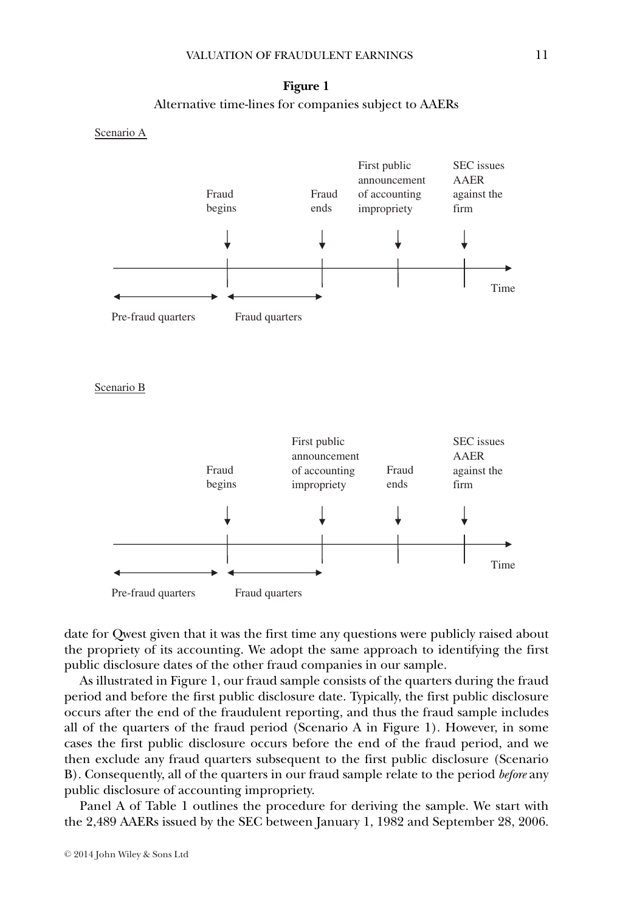

#### Scenario A



date for Qwest given that it was the first time any questions were publicly raised about the propriety of its accounting. We adopt the same approach to identifying the first public disclosure dates of the other fraud companies in our sample.

As illustrated in Figure 1, our fraud sample consists of the quarters during the fraud period and before the first public disclosure date. Typically, the first public disclosure occurs after the end of the fraudulent reporting, and thus the fraud sample includes all of the quarters of the fraud period (Scenario A in Figure 1). However, in some cases the first public disclosure occurs before the end of the fraud period, and we then exclude any fraud quarters subsequent to the first public disclosure (Scenario B). Consequently, all of the quarters in our fraud sample relate to the period *before* any public disclosure of accounting impropriety.

Panel A of Table 1 outlines the procedure for deriving the sample. We start with the 2,489 AAERs issued by the SEC between January 1, 1982 and September 28, 2006.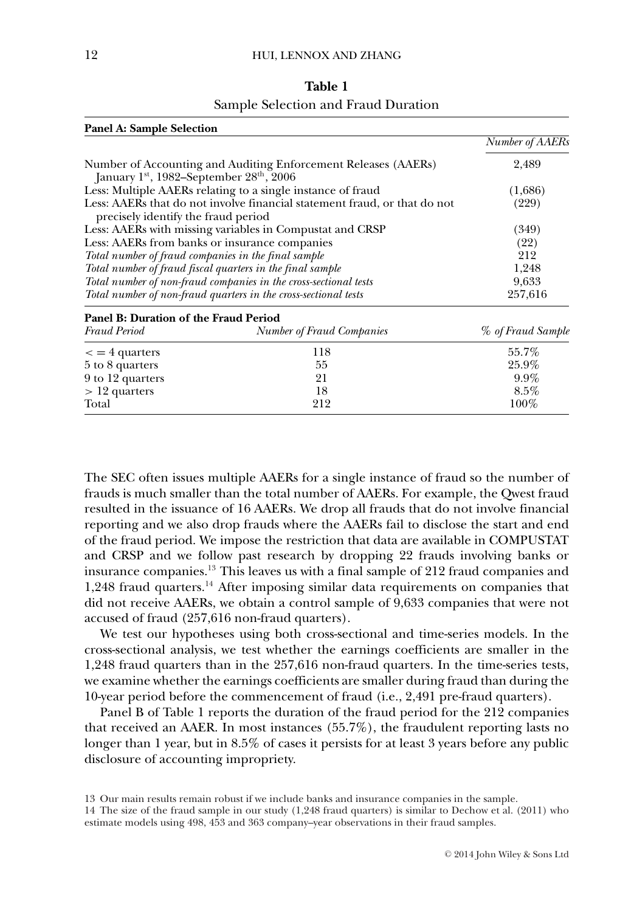| Table 1                             |  |
|-------------------------------------|--|
| Sample Selection and Fraud Duration |  |

| <b>Panel A: Sample Selection</b>                                                                                 |                                                                |                   |
|------------------------------------------------------------------------------------------------------------------|----------------------------------------------------------------|-------------------|
|                                                                                                                  |                                                                | Number of AAERs   |
| January 1st, 1982–September $28th$ , 2006                                                                        | Number of Accounting and Auditing Enforcement Releases (AAERs) | 2,489             |
| Less: Multiple AAERs relating to a single instance of fraud                                                      | (1,686)                                                        |                   |
| Less: AAERs that do not involve financial statement fraud, or that do not<br>precisely identify the fraud period | (229)                                                          |                   |
|                                                                                                                  | Less: AAERs with missing variables in Compustat and CRSP       | (349)             |
| Less: AAERs from banks or insurance companies                                                                    | (22)                                                           |                   |
| Total number of fraud companies in the final sample                                                              | 212                                                            |                   |
| Total number of fraud fiscal quarters in the final sample                                                        | 1,248                                                          |                   |
| Total number of non-fraud companies in the cross-sectional tests                                                 | 9,633                                                          |                   |
| Total number of non-fraud quarters in the cross-sectional tests                                                  | 257,616                                                        |                   |
| Panel B: Duration of the Fraud Period                                                                            |                                                                |                   |
| <b>Fraud Period</b>                                                                                              | <b>Number of Fraud Companies</b>                               | % of Fraud Sample |
| $\epsilon = 4$ quarters                                                                                          | 118                                                            | 55.7%             |
| 5 to 8 quarters                                                                                                  | 55                                                             | 25.9%             |
| 9 to 12 quarters                                                                                                 | 21                                                             | $9.9\%$           |
| $> 12$ quarters                                                                                                  | 18                                                             | $8.5\%$           |
| Total                                                                                                            | 212                                                            | $100\%$           |

The SEC often issues multiple AAERs for a single instance of fraud so the number of frauds is much smaller than the total number of AAERs. For example, the Qwest fraud resulted in the issuance of 16 AAERs. We drop all frauds that do not involve financial reporting and we also drop frauds where the AAERs fail to disclose the start and end of the fraud period. We impose the restriction that data are available in COMPUSTAT and CRSP and we follow past research by dropping 22 frauds involving banks or insurance companies.13 This leaves us with a final sample of 212 fraud companies and 1,248 fraud quarters.14 After imposing similar data requirements on companies that did not receive AAERs, we obtain a control sample of 9,633 companies that were not accused of fraud (257,616 non-fraud quarters).

We test our hypotheses using both cross-sectional and time-series models. In the cross-sectional analysis, we test whether the earnings coefficients are smaller in the 1,248 fraud quarters than in the 257,616 non-fraud quarters. In the time-series tests, we examine whether the earnings coefficients are smaller during fraud than during the 10-year period before the commencement of fraud (i.e., 2,491 pre-fraud quarters).

Panel B of Table 1 reports the duration of the fraud period for the 212 companies that received an AAER. In most instances (55.7%), the fraudulent reporting lasts no longer than 1 year, but in 8.5% of cases it persists for at least 3 years before any public disclosure of accounting impropriety.

<sup>13</sup> Our main results remain robust if we include banks and insurance companies in the sample.

<sup>14</sup> The size of the fraud sample in our study (1,248 fraud quarters) is similar to Dechow et al. (2011) who estimate models using 498, 453 and 363 company–year observations in their fraud samples.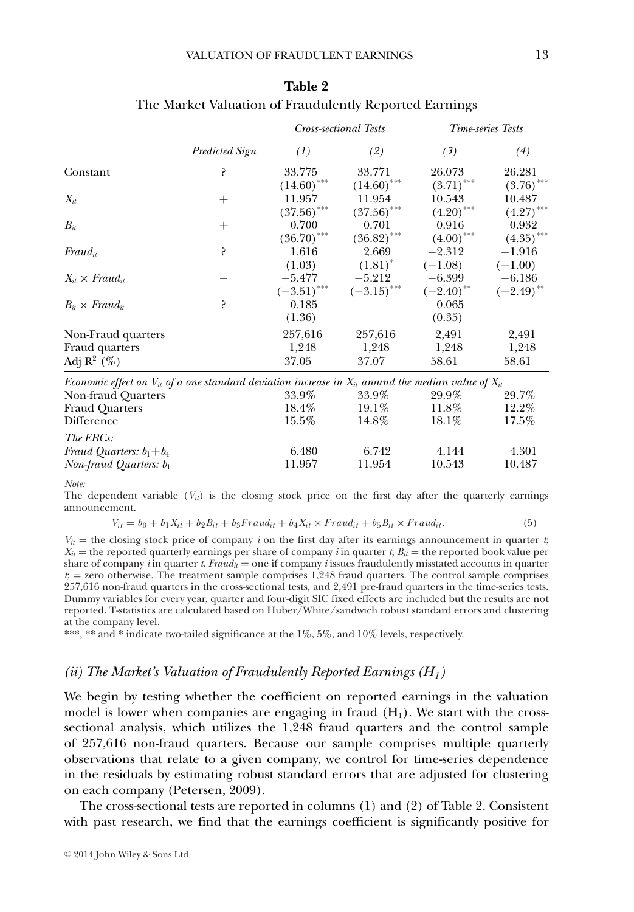#### VALUATION OF FRAUDULENT EARNINGS 13

|                                                                                                                  |                       | <b>Cross-sectional Tests</b> |               | <b>Time-series Tests</b> |              |
|------------------------------------------------------------------------------------------------------------------|-----------------------|------------------------------|---------------|--------------------------|--------------|
|                                                                                                                  | <b>Predicted Sign</b> | $\left(1\right)$             | (2)           | (3)                      | (4)          |
| Constant                                                                                                         | Ś.                    | 33.775                       | 33.771        | 26.073                   | 26.281       |
|                                                                                                                  |                       | $(14.60)$ ***                | $(14.60)$ *** | $(3.71)$ ***             | $(3.76)$ *** |
| $X_{it}$                                                                                                         | $^{+}$                | 11.957                       | 11.954        | 10.543                   | 10.487       |
|                                                                                                                  |                       | $(37.56)$ ***                | $(37.56)$ *** | $(4.20)$ ***             | $(4.27)$ *** |
| $B_{it}$                                                                                                         | $^{+}$                | 0.700                        | 0.701         | 0.916                    | 0.932        |
|                                                                                                                  |                       | $(36.70)$ ***                | $(36.82)$ *** | $(4.00)$ ***             | $(4.35)$ *** |
| $\text{}$                                                                                                        | ?                     | 1.616                        | 2.669         | $-2.312$                 | $-1.916$     |
|                                                                                                                  |                       | (1.03)                       | $(1.81)^*$    | $(-1.08)$                | $(-1.00)$    |
| $X_{it} \times \text{Fraud}_{it}$                                                                                |                       | $-5.477$                     | $-5.212$      | $-6.399$                 | $-6.186$     |
|                                                                                                                  |                       | $(-3.51)$ ***                | $(-3.15)$ *** | $(-2.40)$ **             | $(-2.49)$ ** |
| $B_{it} \times }$ $\mathcal{F}$ raud <sub>it</sub>                                                               | ?                     | 0.185                        |               | 0.065                    |              |
|                                                                                                                  |                       | (1.36)                       |               | (0.35)                   |              |
| Non-Fraud quarters                                                                                               |                       | 257,616                      | 257,616       | 2,491                    | 2,491        |
| Fraud quarters                                                                                                   |                       | 1,248                        | 1,248         | 1,248                    | 1,248        |
| Adj $\mathbb{R}^2$ (%)                                                                                           |                       | 37.05                        | 37.07         | 58.61                    | 58.61        |
| Economic effect on $V_{it}$ of a one standard deviation increase in $X_{it}$ around the median value of $X_{it}$ |                       |                              |               |                          |              |
| Non-fraud Quarters                                                                                               |                       | 33.9%                        | 33.9%         | 29.9%                    | 29.7%        |
| <b>Fraud Quarters</b>                                                                                            |                       | 18.4%                        | $19.1\%$      | 11.8%                    | 12.2%        |
| Difference                                                                                                       |                       | 15.5%                        | 14.8%         | 18.1%                    | 17.5%        |
| The ERCs:                                                                                                        |                       |                              |               |                          |              |
| Fraud Quarters: $b_1+b_4$                                                                                        |                       | 6.480                        | 6.742         | 4.144                    | 4.301        |
| Non-fraud Quarters: $b_1$                                                                                        |                       | 11.957                       | 11.954        | 10.543                   | 10.487       |

**Table 2** The Market Valuation of Fraudulently Reported Earnings

*Note:*

The dependent variable  $(V_{ii})$  is the closing stock price on the first day after the quarterly earnings announcement.

 $V_{it} = b_0 + b_1 X_{it} + b_2 B_{it} + b_3 F r \text{ and } i_t + b_4 X_{it} \times F r \text{ and } i_t + b_5 B_{it} \times F r \text{ and } i_t.$  (5)

 $V_{it}$  = the closing stock price of company *i* on the first day after its earnings announcement in quarter *t*;  $X_{it}$  = the reported quarterly earnings per share of company *i* in quarter *t*;  $B_{it}$  = the reported book value per share of company  $i$  in quarter *t. Fraud<sub>it</sub>* = one if company *i* issues fraudulently misstated accounts in quarter  $t<sub>i</sub>$  = zero otherwise. The treatment sample comprises 1,248 fraud quarters. The control sample comprises 257,616 non-fraud quarters in the cross-sectional tests, and 2,491 pre-fraud quarters in the time-series tests. Dummy variables for every year, quarter and four-digit SIC fixed effects are included but the results are not reported. T-statistics are calculated based on Huber/White/sandwich robust standard errors and clustering at the company level.

\*\*\*, \*\* and \* indicate two-tailed significance at the 1%, 5%, and 10% levels, respectively.

#### *(ii) The Market's Valuation of Fraudulently Reported Earnings (H1)*

We begin by testing whether the coefficient on reported earnings in the valuation model is lower when companies are engaging in fraud  $(H_1)$ . We start with the crosssectional analysis, which utilizes the 1,248 fraud quarters and the control sample of 257,616 non-fraud quarters. Because our sample comprises multiple quarterly observations that relate to a given company, we control for time-series dependence in the residuals by estimating robust standard errors that are adjusted for clustering on each company (Petersen, 2009).

The cross-sectional tests are reported in columns (1) and (2) of Table 2. Consistent with past research, we find that the earnings coefficient is significantly positive for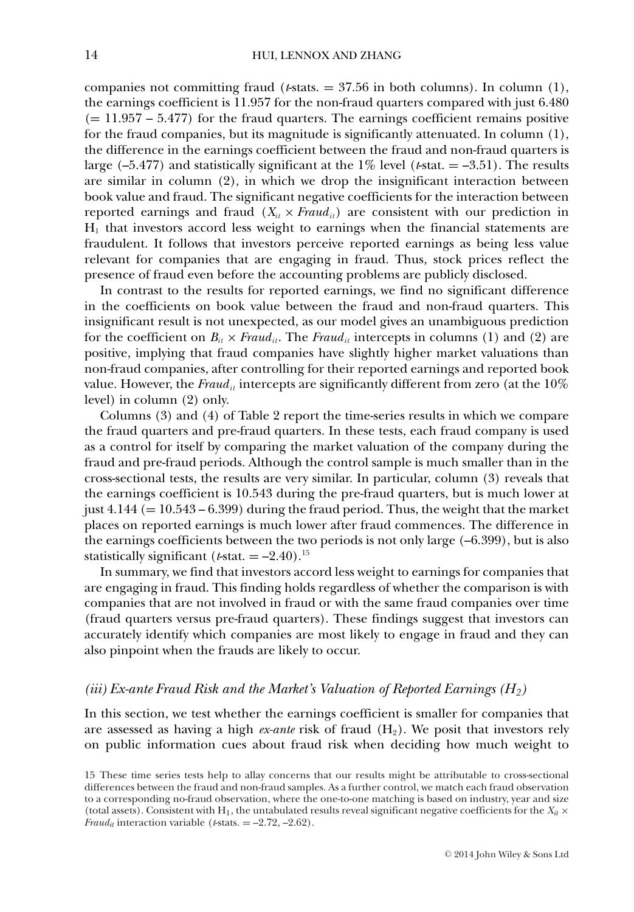companies not committing fraud ( $t$ -stats.  $= 37.56$  in both columns). In column (1), the earnings coefficient is 11.957 for the non-fraud quarters compared with just 6.480  $(= 11.957 - 5.477)$  for the fraud quarters. The earnings coefficient remains positive for the fraud companies, but its magnitude is significantly attenuated. In column (1), the difference in the earnings coefficient between the fraud and non-fraud quarters is large  $(-5.477)$  and statistically significant at the 1% level (*t*-stat.  $=-3.51$ ). The results are similar in column (2), in which we drop the insignificant interaction between book value and fraud. The significant negative coefficients for the interaction between reported earnings and fraud  $(X_{it} \times \text{Fraud}_{it})$  are consistent with our prediction in  $H<sub>1</sub>$  that investors accord less weight to earnings when the financial statements are fraudulent. It follows that investors perceive reported earnings as being less value relevant for companies that are engaging in fraud. Thus, stock prices reflect the presence of fraud even before the accounting problems are publicly disclosed.

In contrast to the results for reported earnings, we find no significant difference in the coefficients on book value between the fraud and non-fraud quarters. This insignificant result is not unexpected, as our model gives an unambiguous prediction for the coefficient on  $B_{it} \times \text{Fraud}_{it}$ . The  $\text{Fraud}_{it}$  intercepts in columns (1) and (2) are positive, implying that fraud companies have slightly higher market valuations than non-fraud companies, after controlling for their reported earnings and reported book value. However, the  $\text{Fraud}_{ii}$  intercepts are significantly different from zero (at the  $10\%$ level) in column (2) only.

Columns (3) and (4) of Table 2 report the time-series results in which we compare the fraud quarters and pre-fraud quarters. In these tests, each fraud company is used as a control for itself by comparing the market valuation of the company during the fraud and pre-fraud periods. Although the control sample is much smaller than in the cross-sectional tests, the results are very similar. In particular, column (3) reveals that the earnings coefficient is 10.543 during the pre-fraud quarters, but is much lower at just  $4.144 (= 10.543 - 6.399)$  during the fraud period. Thus, the weight that the market places on reported earnings is much lower after fraud commences. The difference in the earnings coefficients between the two periods is not only large (–6.399), but is also statistically significant ( $t$ -stat.  $= -2.40$ ).<sup>15</sup>

In summary, we find that investors accord less weight to earnings for companies that are engaging in fraud. This finding holds regardless of whether the comparison is with companies that are not involved in fraud or with the same fraud companies over time (fraud quarters versus pre-fraud quarters). These findings suggest that investors can accurately identify which companies are most likely to engage in fraud and they can also pinpoint when the frauds are likely to occur.

## *(iii) Ex-ante Fraud Risk and the Market's Valuation of Reported Earnings (H2)*

In this section, we test whether the earnings coefficient is smaller for companies that are assessed as having a high  $ex$ -anter risk of fraud  $(H<sub>2</sub>)$ . We posit that investors rely on public information cues about fraud risk when deciding how much weight to

<sup>15</sup> These time series tests help to allay concerns that our results might be attributable to cross-sectional differences between the fraud and non-fraud samples. As a further control, we match each fraud observation to a corresponding no-fraud observation, where the one-to-one matching is based on industry, year and size (total assets). Consistent with H<sub>1</sub>, the untabulated results reveal significant negative coefficients for the  $X_{it} \times$ *Fraud<sub>it</sub>* interaction variable ( $t$ -stats. =  $-2.72$ ,  $-2.62$ ).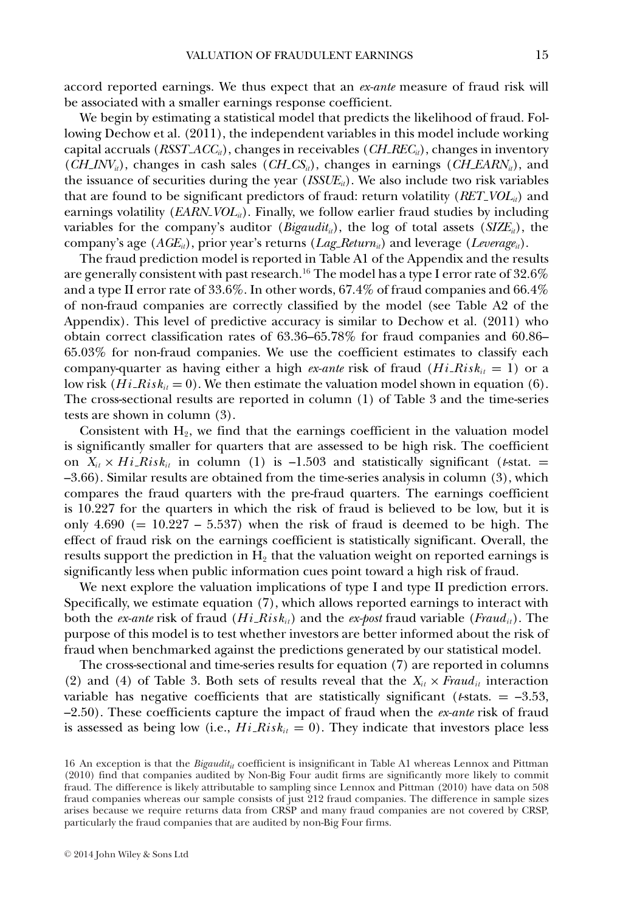accord reported earnings. We thus expect that an *ex-ante* measure of fraud risk will be associated with a smaller earnings response coefficient.

We begin by estimating a statistical model that predicts the likelihood of fraud. Following Dechow et al. (2011), the independent variables in this model include working capital accruals ( $RSSTACC<sub>ii</sub>$ ), changes in receivables ( $CH\_REC<sub>ii</sub>$ ), changes in inventory  $(CH\_INV<sub>i</sub>)$ , changes in cash sales  $(CH\_CS<sub>i</sub>)$ , changes in earnings  $(CH\_EARN<sub>i</sub>)$ , and the issuance of securities during the year  $(ISSE_{ii})$ . We also include two risk variables that are found to be significant predictors of fraud: return volatility  $(RET_VOL_{ii})$  and earnings volatility  $(EARN_{\textit{v}}/OL_{ii})$ . Finally, we follow earlier fraud studies by including variables for the company's auditor (*Bigaudit<sub>ii</sub>*), the log of total assets (*SIZE<sub>ii</sub>*), the company's age  $(AGE_{ii})$ , prior year's returns  $(Lang_Return_{ii})$  and leverage  $(Leverage_{ii})$ .

The fraud prediction model is reported in Table A1 of the Appendix and the results are generally consistent with past research.<sup>16</sup> The model has a type I error rate of 32.6% and a type II error rate of 33.6%. In other words, 67.4% of fraud companies and 66.4% of non-fraud companies are correctly classified by the model (see Table A2 of the Appendix). This level of predictive accuracy is similar to Dechow et al. (2011) who obtain correct classification rates of 63.36–65.78% for fraud companies and 60.86– 65.03% for non-fraud companies. We use the coefficient estimates to classify each company-quarter as having either a high *ex-ante* risk of fraud  $(Hi_R i s_k) = 1$  or a low risk  $(Hi_Ris_{ki} = 0)$ . We then estimate the valuation model shown in equation (6). The cross-sectional results are reported in column (1) of Table 3 and the time-series tests are shown in column (3).

Consistent with  $H_2$ , we find that the earnings coefficient in the valuation model is significantly smaller for quarters that are assessed to be high risk. The coefficient on  $X_{it} \times Hi_R i s k_{it}$  in column (1) is -1.503 and statistically significant (*t*-stat. = –3.66). Similar results are obtained from the time-series analysis in column (3), which compares the fraud quarters with the pre-fraud quarters. The earnings coefficient is 10.227 for the quarters in which the risk of fraud is believed to be low, but it is only  $4.690 (= 10.227 - 5.537)$  when the risk of fraud is deemed to be high. The effect of fraud risk on the earnings coefficient is statistically significant. Overall, the results support the prediction in  $H_2$  that the valuation weight on reported earnings is significantly less when public information cues point toward a high risk of fraud.

We next explore the valuation implications of type I and type II prediction errors. Specifically, we estimate equation (7), which allows reported earnings to interact with both the *ex-ante* risk of fraud (*Hi Riskit*) and the *ex-post* fraud variable (*Fraudit*). The purpose of this model is to test whether investors are better informed about the risk of fraud when benchmarked against the predictions generated by our statistical model.

The cross-sectional and time-series results for equation (7) are reported in columns (2) and (4) of Table 3. Both sets of results reveal that the  $X_{it} \times \text{Fraud}_{it}$  interaction variable has negative coefficients that are statistically significant ( $t$ -stats.  $=$  -3.53, –2.50). These coefficients capture the impact of fraud when the *ex-ante* risk of fraud is assessed as being low (i.e.,  $Hi\_Risk_{ii} = 0$ ). They indicate that investors place less

<sup>16</sup> An exception is that the *Bigaudit<sub>it</sub>* coefficient is insignificant in Table A1 whereas Lennox and Pittman (2010) find that companies audited by Non-Big Four audit firms are significantly more likely to commit fraud. The difference is likely attributable to sampling since Lennox and Pittman (2010) have data on 508 fraud companies whereas our sample consists of just 212 fraud companies. The difference in sample sizes arises because we require returns data from CRSP and many fraud companies are not covered by CRSP, particularly the fraud companies that are audited by non-Big Four firms.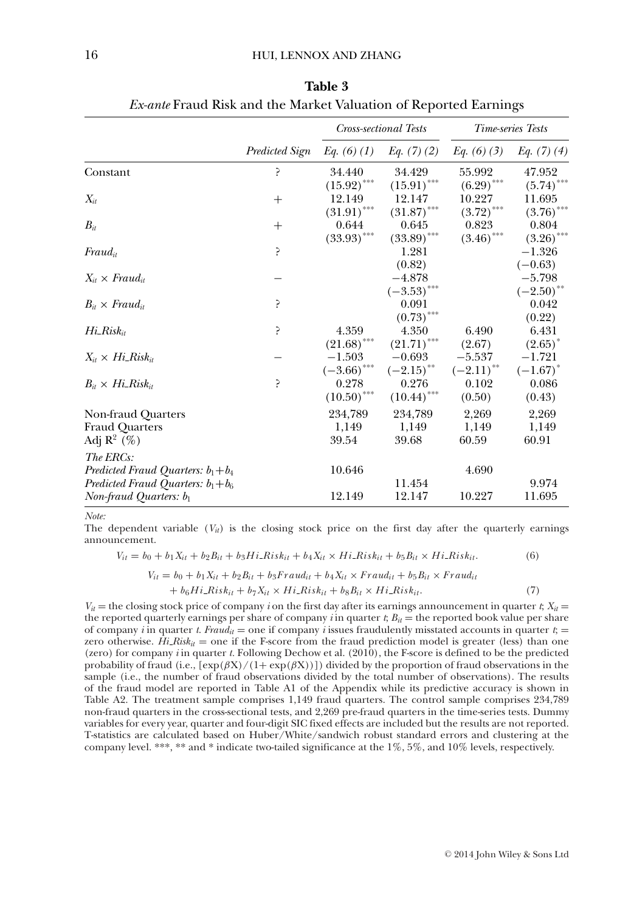|                                                    | Predicted Sign | <b>Cross-sectional Tests</b> |                         | <b>Time-series Tests</b> |                         |
|----------------------------------------------------|----------------|------------------------------|-------------------------|--------------------------|-------------------------|
|                                                    |                | <i>Eq.</i> (6) (1)           | <i>Eq.</i> $(7)(2)$     | <i>Eq.</i> (6) (3)       | Eq. $(7)$ $(4)$         |
| Constant                                           | ?              | 34.440                       | 34.429                  | 55.992                   | 47.952                  |
|                                                    |                | $(15.92)$ ***                | $(15.91)$ ***           | $(6.29)$ ***             | $(5.74)$ ***            |
| $X_{it}$                                           | $^{+}$         | 12.149                       | 12.147                  | 10.227                   | 11.695                  |
|                                                    |                | $(31.91)$ ***                | $(31.87)$ ***           | $(3.72)$ ***             | $(3.76)$ ***            |
| $B_{it}$                                           | $^{+}$         | 0.644                        | 0.645                   | 0.823                    | 0.804                   |
|                                                    |                | $(33.93)$ ***                | $(33.89)$ ***           | $(3.46)$ ***             | $(3.26)$ ***            |
| $\mathit{Fraud}_{it}$                              | ?              |                              | 1.281                   |                          | $-1.326$                |
|                                                    |                |                              | (0.82)                  |                          | $(-0.63)$               |
| $X_{it} \times \text{Fraud}_{it}$                  |                |                              | $-4.878$                |                          | $-5.798$                |
|                                                    |                |                              | $(-3.53)$ ***           |                          | $(-2.50)$ <sup>**</sup> |
| $B_{it} \times }$ $\mathcal{F}$ raud <sub>it</sub> | ?              |                              | 0.091                   |                          | 0.042                   |
|                                                    |                |                              | $(0.73)$ ***            |                          | (0.22)                  |
| $Hi_R$ isk <sub>it</sub>                           | 5              | 4.359                        | 4.350                   | 6.490                    | 6.431                   |
|                                                    |                | $(21.68)$ ***                | $(21.71)$ ***           | (2.67)                   | $(2.65)^*$              |
| $X_{it} \times Hi_R$ Risk <sub>it</sub>            |                | $-1.503$                     | $-0.693$                | $-5.537$                 | $-1.721$                |
|                                                    |                | $(-3.66)$ ***                | $(-2.15)$ <sup>**</sup> | $(-2.11)$ <sup>**</sup>  | $(-1.67)^*$             |
| $B_{it} \times Hi_R$ Risk <sub>it</sub>            | 5              | 0.278                        | 0.276                   | 0.102                    | 0.086                   |
|                                                    |                | $(10.50)$ ***                | $(10.44)$ ***           | (0.50)                   | (0.43)                  |
| Non-fraud Quarters                                 |                | 234,789                      | 234,789                 | 2,269                    | 2,269                   |
| <b>Fraud Quarters</b>                              |                | 1,149                        | 1,149                   | 1,149                    | 1,149                   |
| Adj $\mathbb{R}^2$ (%)                             |                | 39.54                        | 39.68                   | 60.59                    | 60.91                   |
| The ERCs:                                          |                |                              |                         |                          |                         |
| Predicted Fraud Quarters: $b_1 + b_4$              |                | 10.646                       |                         | 4.690                    |                         |
| Predicted Fraud Quarters: $b_1 + b_6$              |                |                              | 11.454                  |                          | 9.974                   |
| Non-fraud Quarters: $b_1$                          |                | 12.149                       | 12.147                  | 10.227                   | 11.695                  |

**Table 3** *Ex-ante* Fraud Risk and the Market Valuation of Reported Earnings

*Note:*

The dependent variable  $(V_{ii})$  is the closing stock price on the first day after the quarterly earnings announcement.

 $V_{it} = b_0 + b_1 X_{it} + b_2 B_{it} + b_3 H i \cdot R i s k_{it} + b_4 X_{it} \times H i \cdot R i s k_{it} + b_5 B_{it} \times H i \cdot R i s k_{it}.$  (6)

$$
V_{it} = b_0 + b_1 X_{it} + b_2 B_{it} + b_3 F r \t and_{it} + b_4 X_{it} \times F r \t and_{it} + b_5 B_{it} \times F r \t and_{it}
$$

$$
+ b_6 H i_- R i s k_{it} + b_7 X_{it} \times H i_- R i s k_{it} + b_8 B_{it} \times H i_- R i s k_{it}.
$$
\n
$$
\tag{7}
$$

 $V_{it}$  = the closing stock price of company *i* on the first day after its earnings announcement in quarter *t*;  $X_{it}$  = the reported quarterly earnings per share of company *i* in quarter *t*;  $B_{it}$  = the reported book value per share of company *i* in quarter *t*. *Fraud<sub>it</sub>* = one if company *i* issues fraudulently misstated accounts in quarter  $t_i$  = zero otherwise. *Hi<sub>-</sub>Risk<sub>it</sub>* = one if the F-score from the fraud prediction model is greater (less) than one (zero) for company *i* in quarter *t.* Following Dechow et al. (2010), the F-score is defined to be the predicted probability of fraud (i.e.,  $[\exp(\beta X)/(1+\exp(\beta X))]$ ) divided by the proportion of fraud observations in the sample (i.e., the number of fraud observations divided by the total number of observations). The results of the fraud model are reported in Table A1 of the Appendix while its predictive accuracy is shown in Table A2. The treatment sample comprises 1,149 fraud quarters. The control sample comprises 234,789 non-fraud quarters in the cross-sectional tests, and 2,269 pre-fraud quarters in the time-series tests. Dummy variables for every year, quarter and four-digit SIC fixed effects are included but the results are not reported. T-statistics are calculated based on Huber/White/sandwich robust standard errors and clustering at the company level. \*\*\*, \*\* and \* indicate two-tailed significance at the 1%, 5%, and 10% levels, respectively.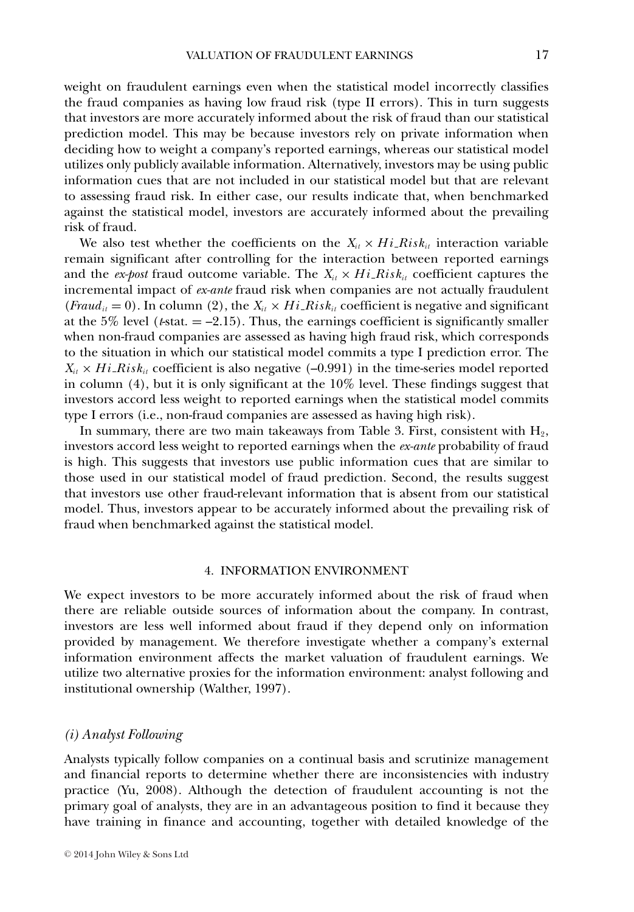weight on fraudulent earnings even when the statistical model incorrectly classifies the fraud companies as having low fraud risk (type II errors). This in turn suggests that investors are more accurately informed about the risk of fraud than our statistical prediction model. This may be because investors rely on private information when deciding how to weight a company's reported earnings, whereas our statistical model utilizes only publicly available information. Alternatively, investors may be using public information cues that are not included in our statistical model but that are relevant to assessing fraud risk. In either case, our results indicate that, when benchmarked against the statistical model, investors are accurately informed about the prevailing risk of fraud.

We also test whether the coefficients on the  $X_{it} \times Hi\_Risk_{it}$  interaction variable remain significant after controlling for the interaction between reported earnings and the *ex-post* fraud outcome variable. The  $X_{i} \times Hi_R \times Ri_R$  coefficient captures the incremental impact of *ex-ante* fraud risk when companies are not actually fraudulent (*Fraud<sub>it</sub>* = 0). In column (2), the  $X_{it} \times Hi$  *Risk<sub>it</sub>* coefficient is negative and significant at the 5% level ( $t$ -stat.  $= -2.15$ ). Thus, the earnings coefficient is significantly smaller when non-fraud companies are assessed as having high fraud risk, which corresponds to the situation in which our statistical model commits a type I prediction error. The  $X_{it} \times Hi.Risk_{it}$  coefficient is also negative (–0.991) in the time-series model reported in column  $(4)$ , but it is only significant at the  $10\%$  level. These findings suggest that investors accord less weight to reported earnings when the statistical model commits type I errors (i.e., non-fraud companies are assessed as having high risk).

In summary, there are two main takeaways from Table 3. First, consistent with  $H_2$ , investors accord less weight to reported earnings when the *ex-ante* probability of fraud is high. This suggests that investors use public information cues that are similar to those used in our statistical model of fraud prediction. Second, the results suggest that investors use other fraud-relevant information that is absent from our statistical model. Thus, investors appear to be accurately informed about the prevailing risk of fraud when benchmarked against the statistical model.

#### 4. INFORMATION ENVIRONMENT

We expect investors to be more accurately informed about the risk of fraud when there are reliable outside sources of information about the company. In contrast, investors are less well informed about fraud if they depend only on information provided by management. We therefore investigate whether a company's external information environment affects the market valuation of fraudulent earnings. We utilize two alternative proxies for the information environment: analyst following and institutional ownership (Walther, 1997).

## *(i) Analyst Following*

Analysts typically follow companies on a continual basis and scrutinize management and financial reports to determine whether there are inconsistencies with industry practice (Yu, 2008). Although the detection of fraudulent accounting is not the primary goal of analysts, they are in an advantageous position to find it because they have training in finance and accounting, together with detailed knowledge of the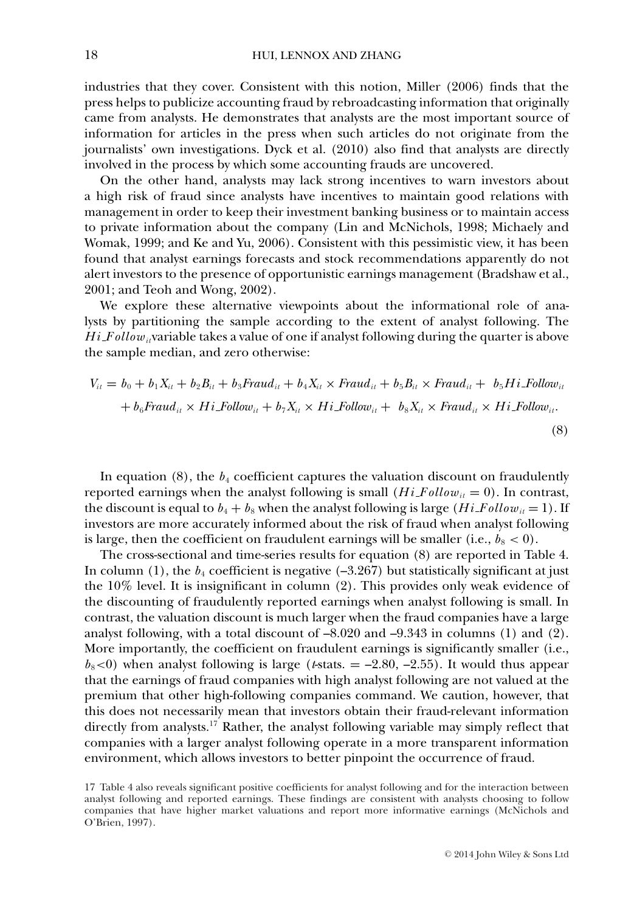industries that they cover. Consistent with this notion, Miller (2006) finds that the press helps to publicize accounting fraud by rebroadcasting information that originally came from analysts. He demonstrates that analysts are the most important source of information for articles in the press when such articles do not originate from the journalists' own investigations. Dyck et al. (2010) also find that analysts are directly involved in the process by which some accounting frauds are uncovered.

On the other hand, analysts may lack strong incentives to warn investors about a high risk of fraud since analysts have incentives to maintain good relations with management in order to keep their investment banking business or to maintain access to private information about the company (Lin and McNichols, 1998; Michaely and Womak, 1999; and Ke and Yu, 2006). Consistent with this pessimistic view, it has been found that analyst earnings forecasts and stock recommendations apparently do not alert investors to the presence of opportunistic earnings management (Bradshaw et al., 2001; and Teoh and Wong, 2002).

We explore these alternative viewpoints about the informational role of analysts by partitioning the sample according to the extent of analyst following. The  $Hi_Follow_{ii}$  variable takes a value of one if analyst following during the quarter is above the sample median, and zero otherwise:

$$
V_{ii} = b_0 + b_1 X_{ii} + b_2 B_{ii} + b_3 Fraud_{ii} + b_4 X_{ii} \times Fraud_{ii} + b_5 B_{ii} \times Fraud_{ii} + b_5 Hi\_Follow_{ii}
$$
  
+ 
$$
b_6 Fraud_{ii} \times Hi\_Follow_{ii} + b_7 X_{ii} \times Hi\_Follow_{ii} + b_8 X_{ii} \times Fraud_{ii} \times Hi\_Follow_{ii}.
$$
  
(8)

In equation  $(8)$ , the  $b_4$  coefficient captures the valuation discount on fraudulently reported earnings when the analyst following is small  $(Hi_Follow_{it} = 0)$ . In contrast, the discount is equal to  $b_4 + b_8$  when the analyst following is large  $(Hi_Follow_{ii} = 1)$ . If investors are more accurately informed about the risk of fraud when analyst following is large, then the coefficient on fraudulent earnings will be smaller (i.e.,  $b_8 < 0$ ).

The cross-sectional and time-series results for equation (8) are reported in Table 4. In column (1), the  $b_4$  coefficient is negative  $(-3.267)$  but statistically significant at just the 10% level. It is insignificant in column (2). This provides only weak evidence of the discounting of fraudulently reported earnings when analyst following is small. In contrast, the valuation discount is much larger when the fraud companies have a large analyst following, with a total discount of –8.020 and –9.343 in columns (1) and (2). More importantly, the coefficient on fraudulent earnings is significantly smaller (i.e.,  $b_8$ <0) when analyst following is large (*t*-stats. = -2.80, -2.55). It would thus appear that the earnings of fraud companies with high analyst following are not valued at the premium that other high-following companies command. We caution, however, that this does not necessarily mean that investors obtain their fraud-relevant information directly from analysts.<sup>17</sup> Rather, the analyst following variable may simply reflect that companies with a larger analyst following operate in a more transparent information environment, which allows investors to better pinpoint the occurrence of fraud.

17 Table 4 also reveals significant positive coefficients for analyst following and for the interaction between analyst following and reported earnings. These findings are consistent with analysts choosing to follow companies that have higher market valuations and report more informative earnings (McNichols and O'Brien, 1997).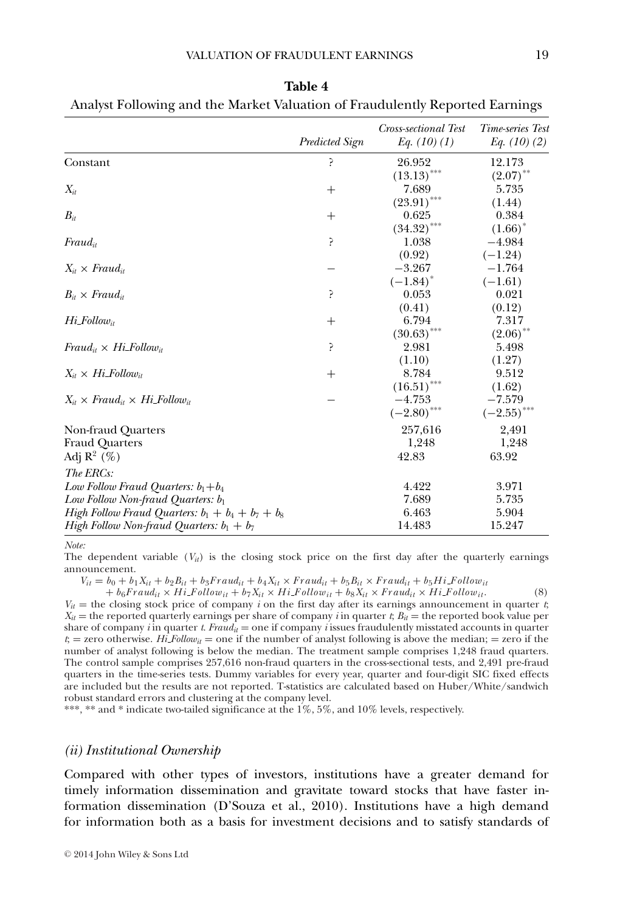#### VALUATION OF FRAUDULENT EARNINGS 19

|                                                                | <b>Predicted Sign</b> | Cross-sectional Test<br>Eq. $(10)(1)$ | Time-series Test<br>Eq. $(10)(2)$ |
|----------------------------------------------------------------|-----------------------|---------------------------------------|-----------------------------------|
| Constant                                                       | ?                     | 26.952                                | 12.173                            |
|                                                                |                       | (13.13)                               | (2.07)                            |
| $X_{it}$                                                       | $^+$                  | 7.689                                 | 5.735                             |
|                                                                |                       | $(23.91)$ ***                         | (1.44)                            |
| $B_{it}$                                                       | $^{+}$                | 0.625                                 | 0.384                             |
|                                                                |                       | $(34.32)$ ***                         | $(1.66)^*$                        |
| $\mathit{Fraud}_{it}$                                          | 5.                    | 1.038                                 | $-4.984$                          |
|                                                                |                       | (0.92)                                | $(-1.24)$                         |
| $X_{it} \times \text{Fraud}_{it}$                              |                       | $-3.267$                              | $-1.764$                          |
|                                                                |                       | $(-1.84)^*$                           | $(-1.61)$                         |
| $B_{it} \times Fraud_{it}$                                     | 5.                    | 0.053                                 | 0.021                             |
|                                                                |                       | (0.41)                                | (0.12)                            |
| $Hi_F$ ollow <sub>it</sub>                                     | $^{+}$                | 6.794                                 | 7.317                             |
|                                                                |                       | $(30.63)$ ***                         | $(2.06)$ **                       |
| $\text{Fraud}_{it} \times \text{Hi_Follow}_{it}$               | 5.                    | 2.981                                 | 5.498                             |
|                                                                |                       | (1.10)                                | (1.27)                            |
| $X_{it} \times Hi_F$ ollow <sub>it</sub>                       | $^{+}$                | 8.784                                 | 9.512                             |
|                                                                |                       | $(16.51)$ ***                         | (1.62)                            |
| $X_{it} \times \text{Fraud}_{it} \times \text{Hi-Follow}_{it}$ |                       | $-4.753$                              | $-7.579$                          |
|                                                                |                       | $(-2.80)$ ***                         | $(-2.55)$ ***                     |
| Non-fraud Quarters                                             |                       | 257,616                               | 2,491                             |
| Fraud Quarters                                                 |                       | 1,248                                 | 1,248                             |
| Adj $\mathbb{R}^2$ (%)                                         |                       | 42.83                                 | 63.92                             |
| The ERCs:                                                      |                       |                                       |                                   |
| Low Follow Fraud Quarters: $b_1+b_4$                           |                       | 4.422                                 | 3.971                             |
| Low Follow Non-fraud Quarters: $b_1$                           |                       | 7.689                                 | 5.735                             |
| High Follow Fraud Quarters: $b_1 + b_4 + b_7 + b_8$            |                       | 6.463                                 | 5.904                             |
| <i>High Follow Non-fraud Quarters:</i> $b_1 + b_7$             |                       | 14.483                                | 15.247                            |

| Table 4                                                                      |  |
|------------------------------------------------------------------------------|--|
| Analyst Following and the Market Valuation of Fraudulently Reported Earnings |  |

#### *Note:*

The dependent variable  $(V_{ii})$  is the closing stock price on the first day after the quarterly earnings announcement.

 $V_{it} = b_0 + b_1 X_{it} + b_2 B_{it} + b_3 F r \alpha u d_{it} + b_4 X_{it} \times F r \alpha u d_{it} + b_5 B_{it} \times F r \alpha u d_{it} + b_5 H i_F \alpha u d_{it}$ 

 $+ b_6$ *Fr aud<sub>it</sub>*  $\times$  *Hi*  $\cdot$ *Follow<sub>it</sub>* +  $b_7X_{it} \times Hi$  *Follow<sub>it</sub>* +  $b_8X_{it} \times Fraud_{it} \times Hi$  *Follow<sub>it</sub>* . (8)

 $V_{it}$  = the closing stock price of company *i* on the first day after its earnings announcement in quarter *t*;  $X_{it}$  = the reported quarterly earnings per share of company *i* in quarter *t*;  $B_{it}$  = the reported book value per share of company *i* in quarter *t*. *Fraud<sub>u</sub>* = one if company *i* issues fraudulently misstated accounts in quarter  $t_i$  = zero otherwise. *Hi Follow<sub>it</sub>* = one if the number of analyst following is above the median; = zero if the number of analyst following is below the median. The treatment sample comprises 1,248 fraud quarters. The control sample comprises 257,616 non-fraud quarters in the cross-sectional tests, and 2,491 pre-fraud quarters in the time-series tests. Dummy variables for every year, quarter and four-digit SIC fixed effects are included but the results are not reported. T-statistics are calculated based on Huber/White/sandwich robust standard errors and clustering at the company level.

\*\*\*, \*\* and \* indicate two-tailed significance at the 1%, 5%, and 10% levels, respectively.

## *(ii) Institutional Ownership*

Compared with other types of investors, institutions have a greater demand for timely information dissemination and gravitate toward stocks that have faster information dissemination (D'Souza et al., 2010). Institutions have a high demand for information both as a basis for investment decisions and to satisfy standards of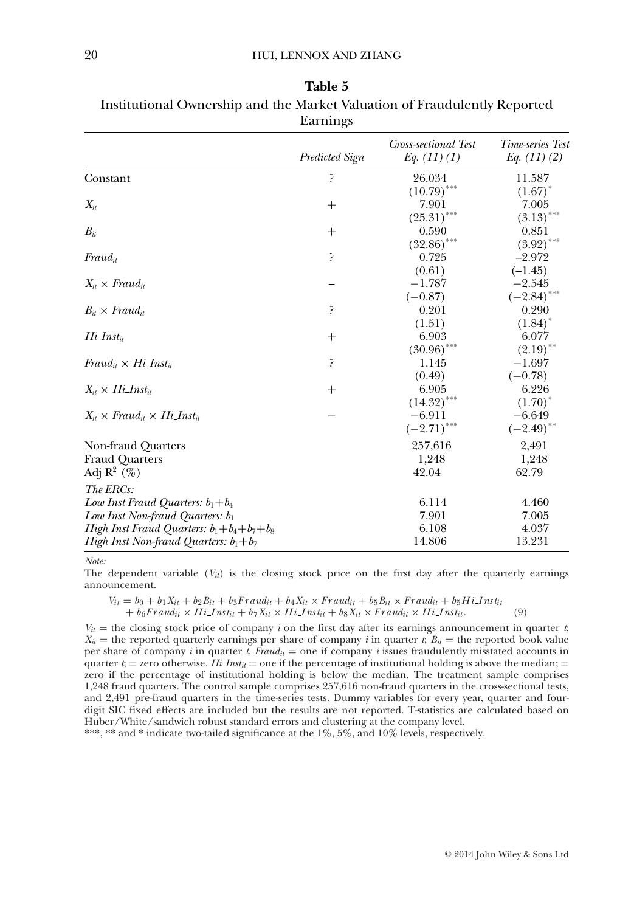|                                                               | <b>Predicted Sign</b> | Cross-sectional Test<br>Eq. $(11)(1)$ | <b>Time-series Test</b><br>Eq. $(11)(2)$ |
|---------------------------------------------------------------|-----------------------|---------------------------------------|------------------------------------------|
| Constant                                                      | 5                     | 26.034                                | 11.587                                   |
|                                                               |                       | $(10.79)$ ***                         | $(1.67)^*$                               |
| $X_{it}$                                                      | $^{+}$                | 7.901                                 | 7.005                                    |
|                                                               |                       | $(25.31)$ ***                         | $(3.13)$ ***                             |
| $B_{it}$                                                      | $^+$                  | 0.590                                 | 0.851                                    |
|                                                               |                       | $(32.86)$ ***                         | $(3.92)$ ***                             |
| $\mathit{Fraud}_{it}$                                         | 5.                    | 0.725                                 | $-2.972$                                 |
|                                                               |                       | (0.61)                                | $(-1.45)$                                |
| $X_{it} \times Fraud_{it}$                                    |                       | $-1.787$                              | $-2.545$                                 |
|                                                               |                       | $(-0.87)$                             | $(-2.84)$ ***                            |
| $B_{it} \times \text{Fraud}_{it}$                             | ċ.                    | 0.201                                 | 0.290                                    |
|                                                               |                       | (1.51)                                | $(1.84)^*$                               |
| $Hi\_Inst_{it}$                                               | $^{+}$                | 6.903                                 | 6.077                                    |
|                                                               |                       | $(30.96)$ ***                         | $(2.19)$ **                              |
| $\text{Fraud}_{it} \times \text{Hi\_Inst}_{it}$               | 5                     | 1.145                                 | $-1.697$                                 |
|                                                               |                       | (0.49)                                | $(-0.78)$                                |
| $X_{it} \times Hi\_Inst_{it}$                                 | $^{+}$                | 6.905                                 | 6.226                                    |
|                                                               |                       | $(14.32)$ ***                         | $(1.70)^*$                               |
| $X_{it} \times \text{Fraud}_{it} \times \text{Hi\_Inst}_{it}$ |                       | $-6.911$                              | $-6.649$                                 |
|                                                               |                       | $(-2.71)$ ***                         | $(-2.49)$ **                             |
| Non-fraud Quarters                                            |                       | 257,616                               | 2,491                                    |
| <b>Fraud Quarters</b>                                         |                       | 1,248                                 | 1,248                                    |
| Adj $\mathbb{R}^2$ (%)                                        |                       | 42.04                                 | 62.79                                    |
| The ERCs:                                                     |                       |                                       |                                          |
| Low Inst Fraud Quarters: $b_1 + b_4$                          |                       | 6.114                                 | 4.460                                    |
| Low Inst Non-fraud Quarters: $b_1$                            |                       | 7.901                                 | 7.005                                    |
| High Inst Fraud Quarters: $b_1+b_4+b_7+b_8$                   |                       | 6.108                                 | 4.037                                    |
| <i>High Inst Non-fraud Quarters:</i> $b_1 + b_7$              |                       | 14.806                                | 13.231                                   |

**Table 5** Institutional Ownership and the Market Valuation of Fraudulently Reported Earnings

*Note:*

The dependent variable  $(V_{ii})$  is the closing stock price on the first day after the quarterly earnings announcement.

 $V_{it} = b_0 + b_1 X_{it} + b_2 B_{it} + b_3 F r a u d_{it} + b_4 X_{it} \times F r a u d_{it} + b_5 B_{it} \times F r a u d_{it} + b_5 H i \mathcal{L} n s t_{it}$ 

 $+ b_6$ *Fr aud<sub>it</sub>*  $\times$  *Hi*  $\cdot$ *Inst<sub>it</sub>* +  $b_7X_{it} \times Hi \cdot \cdot$ *Inst<sub>it</sub>*  $+ b_8X_{it} \times Fr$ *aud<sub>it</sub>*  $\times$  *Hi*  $\cdot$ *Inst<sub>it</sub>*. (9)

 $V_{it}$  = the closing stock price of company *i* on the first day after its earnings announcement in quarter *t*;  $X_{it}$  = the reported quarterly earnings per share of company *i* in quarter *t*;  $B_{it}$  = the reported book value per share of company *i* in quarter *t*. *Fraud<sub>it</sub>* = one if company *i* issues fraudulently misstated accounts in quarter  $t_i$  = zero otherwise.  $Hi\_Inst_{it}$  = one if the percentage of institutional holding is above the median; = zero if the percentage of institutional holding is below the median. The treatment sample comprises 1,248 fraud quarters. The control sample comprises 257,616 non-fraud quarters in the cross-sectional tests, and 2,491 pre-fraud quarters in the time-series tests. Dummy variables for every year, quarter and fourdigit SIC fixed effects are included but the results are not reported. T-statistics are calculated based on Huber/White/sandwich robust standard errors and clustering at the company level.

\*\*\*, \*\* and \* indicate two-tailed significance at the 1%, 5%, and 10% levels, respectively.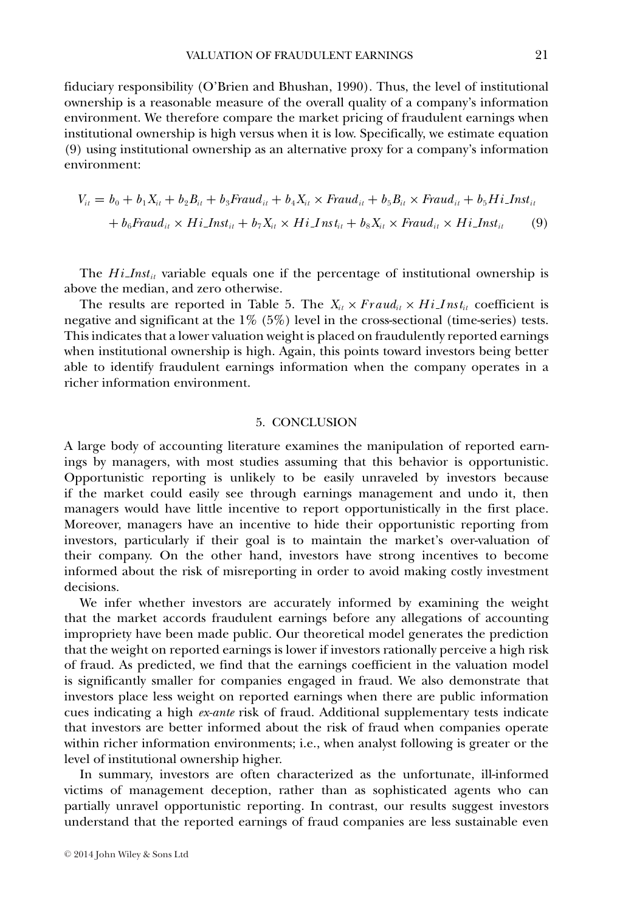fiduciary responsibility (O'Brien and Bhushan, 1990). Thus, the level of institutional ownership is a reasonable measure of the overall quality of a company's information environment. We therefore compare the market pricing of fraudulent earnings when institutional ownership is high versus when it is low. Specifically, we estimate equation (9) using institutional ownership as an alternative proxy for a company's information environment:

$$
V_{ii} = b_0 + b_1 X_{it} + b_2 B_{it} + b_3 Fraud_{it} + b_4 X_{it} \times Fraud_{it} + b_5 B_{it} \times Fraud_{it} + b_5 Hi\_{instit}
$$
  
+ 
$$
b_6 Fraud_{it} \times Hi\_{instit} + b_7 X_{it} \times Hi\_{instit} + b_8 X_{it} \times Fraud_{it} \times Hi\_{instit}
$$
 (9)

The  $Hi$ *Inst<sub>it</sub>* variable equals one if the percentage of institutional ownership is above the median, and zero otherwise.

The results are reported in Table 5. The  $X_{it} \times }$  *Fraud<sub>it</sub>*  $\times$  *Hi\_Inst<sub>it</sub>* coefficient is negative and significant at the  $1\%$  (5%) level in the cross-sectional (time-series) tests. This indicates that a lower valuation weight is placed on fraudulently reported earnings when institutional ownership is high. Again, this points toward investors being better able to identify fraudulent earnings information when the company operates in a richer information environment.

#### 5. CONCLUSION

A large body of accounting literature examines the manipulation of reported earnings by managers, with most studies assuming that this behavior is opportunistic. Opportunistic reporting is unlikely to be easily unraveled by investors because if the market could easily see through earnings management and undo it, then managers would have little incentive to report opportunistically in the first place. Moreover, managers have an incentive to hide their opportunistic reporting from investors, particularly if their goal is to maintain the market's over-valuation of their company. On the other hand, investors have strong incentives to become informed about the risk of misreporting in order to avoid making costly investment decisions.

We infer whether investors are accurately informed by examining the weight that the market accords fraudulent earnings before any allegations of accounting impropriety have been made public. Our theoretical model generates the prediction that the weight on reported earnings is lower if investors rationally perceive a high risk of fraud. As predicted, we find that the earnings coefficient in the valuation model is significantly smaller for companies engaged in fraud. We also demonstrate that investors place less weight on reported earnings when there are public information cues indicating a high *ex-ante* risk of fraud. Additional supplementary tests indicate that investors are better informed about the risk of fraud when companies operate within richer information environments; i.e., when analyst following is greater or the level of institutional ownership higher.

In summary, investors are often characterized as the unfortunate, ill-informed victims of management deception, rather than as sophisticated agents who can partially unravel opportunistic reporting. In contrast, our results suggest investors understand that the reported earnings of fraud companies are less sustainable even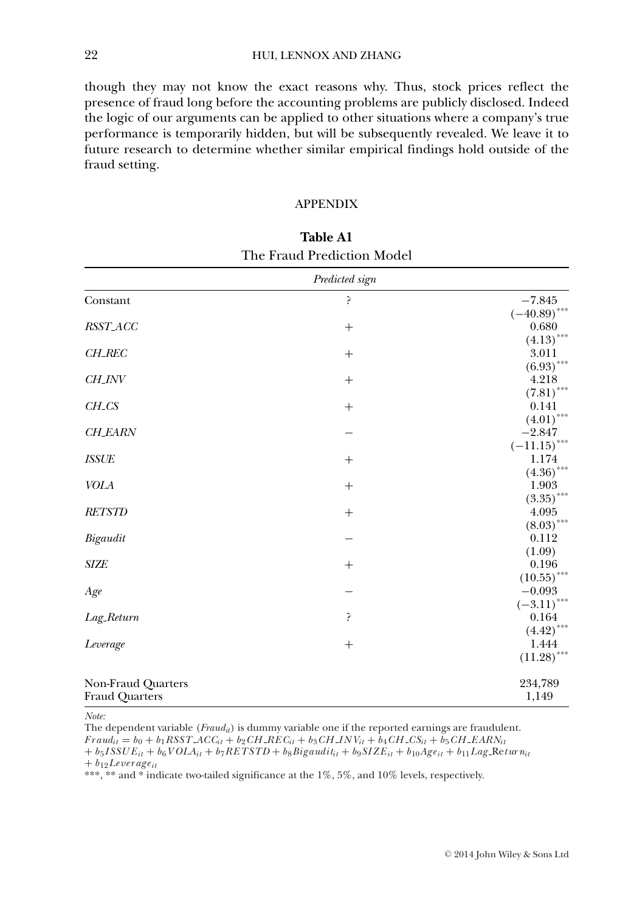#### 22 HUI, LENNOX AND ZHANG

though they may not know the exact reasons why. Thus, stock prices reflect the presence of fraud long before the accounting problems are publicly disclosed. Indeed the logic of our arguments can be applied to other situations where a company's true performance is temporarily hidden, but will be subsequently revealed. We leave it to future research to determine whether similar empirical findings hold outside of the fraud setting.

#### APPENDIX

|                       | Predicted sign |                                        |
|-----------------------|----------------|----------------------------------------|
| Constant              | 5.             | $-7.845$                               |
|                       |                | $(-40.89)$ ***                         |
| $R\!ST\_ACC$          | $^{+}$         | 0.680                                  |
|                       |                | $(4.13)$ ***                           |
| CH_REC                | $^{+}$         | 3.011                                  |
|                       |                | $(6.93)$ ***                           |
| $\it CH\_INV$         | $^{+}$         | 4.218                                  |
|                       |                | $(7.81)$ ***                           |
| CH_CS                 | $^{+}$         | 0.141<br>$(4.01)$ ***                  |
| <b>CH_EARN</b>        |                | $-2.847$                               |
|                       |                | $\left( -11.15\right) ^{\ast\ast\ast}$ |
| <b>ISSUE</b>          | $^+$           | 1.174                                  |
|                       |                | $(4.36)$ ***                           |
| <b>VOLA</b>           | $^+$           | 1.903                                  |
|                       |                | $(.3.35)$ ***                          |
| <b>RETSTD</b>         | $^{+}$         | 4.095                                  |
|                       |                | $(8.03)$ ***                           |
| Bigaudit              |                | 0.112                                  |
|                       |                | (1.09)                                 |
| <b>SIZE</b>           | $^{+}$         | 0.196                                  |
|                       |                | $(10.55)$ ***                          |
| Age                   |                | $-0.093$                               |
|                       | ?              | $(-3.11)$ ***                          |
| Lag_Return            |                | 0.164<br>$(4.42)$ ***                  |
| Leverage              | $^{+}$         | 1.444                                  |
|                       |                | $(11.28)$ ***                          |
|                       |                |                                        |
| Non-Fraud Quarters    |                | 234,789                                |
| <b>Fraud Quarters</b> |                | 1,149                                  |

# **Table A1** The Fraud Prediction Model

*Note:*

The dependent variable (*Fraud<sub>it</sub>*) is dummy variable one if the reported earnings are fraudulent.  $F \n{a} \n{a} \n{a} \n{i} = b_0 + b_1 \n{R} \n{S} \n{S} \n{T} \n{A} \n{C} \n{C}_{it} + b_2 \n{C} \n{H} \n{A} \n{R} \n{E} \n{C}_{it} + b_3 \n{C} \n{H} \n{I} \n{N} \n{V}_{it} + b_4 \n{C} \n{H} \n{I} \n{C} \n{S}_{it} + b_5 \n{C} \n{H} \n{I} \n{E} \n{A} \n{R} \n{N}_{it}$  $+ b_5 ISSUE_{it} + b_6 VOLA_{it} + b_7 RETSTD + b_8 Bigaudit_{it} + b_9 SIZE_{it} + b_{10 Age_{it}} + b_{11 Lag}$ . Return<sub>it</sub> + *b*12*Lever ageit*

\*\*\*, \*\* and  $*$  indicate two-tailed significance at the 1%, 5%, and 10% levels, respectively.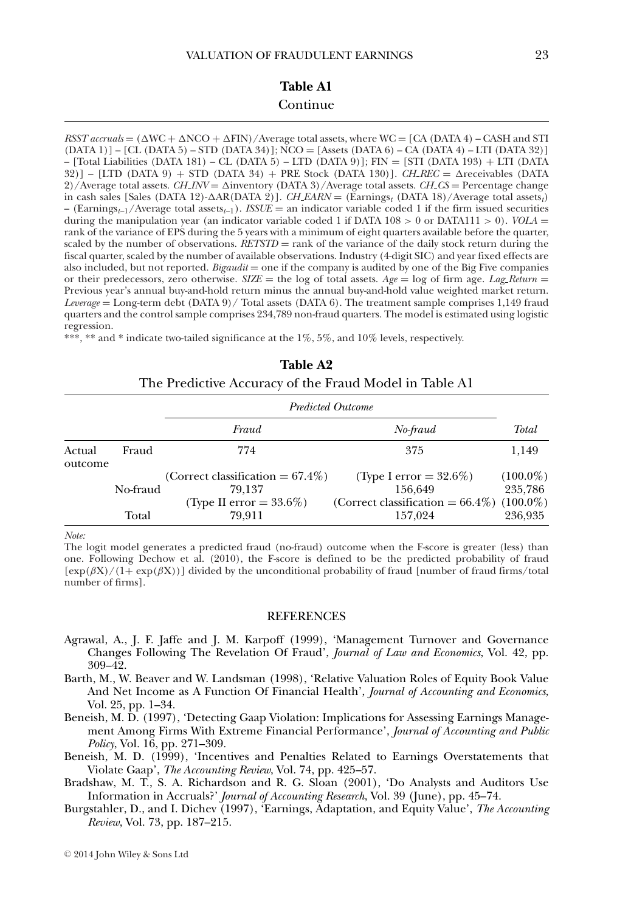# **Table A1** Continue

*RSST accruals* =  $(\Delta WC + \Delta NCO + \Delta FIN)/$  Average total assets, where  $WC = [CA (DATA 4) - CASH and STI$ (DATA 1)] – [CL (DATA 5) – STD (DATA 34)]; NCO = [Assets (DATA 6) – CA (DATA 4) – LTI (DATA 32)] – [Total Liabilities (DATA 181) – CL (DATA 5) – LTD (DATA 9)]; FIN = [STI (DATA 193) + LTI (DATA  $32$ ] – [LTD (DATA 9) + STD (DATA 34) + PRE Stock (DATA 130)]. *CH REC* =  $\triangle$  receivables (DATA  $2$ /Average total assets. *CH\_INV* =  $\Delta$ inventory (DATA 3)/Average total assets. *CH\_CS* = Percentage change in cash sales [Sales (DATA 12)- $\Delta AR(DATA 2)$ ]. *CH EARN* = (Earnings<sub>t</sub> (DATA 18)/Average total assets<sub>t</sub>)  $-(\text{Earnings}_{t-1}/\text{Average total assets}_{t-1})$ . *ISSUE* = an indicator variable coded 1 if the firm issued securities during the manipulation year (an indicator variable coded 1 if DATA  $108 > 0$  or DATA111  $> 0$ ). *VOLA* = rank of the variance of EPS during the 5 years with a minimum of eight quarters available before the quarter, scaled by the number of observations. *RETSTD* = rank of the variance of the daily stock return during the fiscal quarter, scaled by the number of available observations. Industry (4-digit SIC) and year fixed effects are also included, but not reported. *Bigaudit* = one if the company is audited by one of the Big Five companies or their predecessors, zero otherwise. *SIZE* = the log of total assets.  $Age = \log$  of firm age. *Lag Return* = Previous year's annual buy-and-hold return minus the annual buy-and-hold value weighted market return. *Leverage* = Long-term debt (DATA 9)/ Total assets (DATA 6). The treatment sample comprises 1,149 fraud quarters and the control sample comprises 234,789 non-fraud quarters. The model is estimated using logistic regression.

\*\*\*, \*\* and \* indicate two-tailed significance at the  $1\%$ , 5%, and  $10\%$  levels, respectively.

|                   |          | <b>Predicted Outcome</b>                                                      |                                                                                       |                        |
|-------------------|----------|-------------------------------------------------------------------------------|---------------------------------------------------------------------------------------|------------------------|
|                   |          | Fraud                                                                         | No-fraud                                                                              | <b>Total</b>           |
| Actual<br>outcome | Fraud    | 774                                                                           | 375                                                                                   | 1,149                  |
|                   | No-fraud | (Correct classification = $67.4\%$ )<br>79.137<br>(Type II error = $33.6\%$ ) | (Type I error $= 32.6\%)$<br>156.649<br>(Correct classification = $66.4\%$ ) (100.0%) | $(100.0\%)$<br>235,786 |
|                   | Total    | 79.911                                                                        | 157.024                                                                               | 236,935                |

**Table A2** The Predictive Accuracy of the Fraud Model in Table A1

*Note:*

The logit model generates a predicted fraud (no-fraud) outcome when the F-score is greater (less) than one. Following Dechow et al. (2010), the F-score is defined to be the predicted probability of fraud  $[\exp(\beta X)/(1+\exp(\beta X))]$  divided by the unconditional probability of fraud [number of fraud firms/total] number of firms].

#### **REFERENCES**

- Agrawal, A., J. F. Jaffe and J. M. Karpoff (1999), 'Management Turnover and Governance Changes Following The Revelation Of Fraud', *Journal of Law and Economics*, Vol. 42, pp. 309–42.
- Barth, M., W. Beaver and W. Landsman (1998), 'Relative Valuation Roles of Equity Book Value And Net Income as A Function Of Financial Health', *Journal of Accounting and Economics*, Vol. 25, pp. 1–34.
- Beneish, M. D. (1997), 'Detecting Gaap Violation: Implications for Assessing Earnings Management Among Firms With Extreme Financial Performance', *Journal of Accounting and Public Policy*, Vol. 16, pp. 271–309.
- Beneish, M. D. (1999), 'Incentives and Penalties Related to Earnings Overstatements that Violate Gaap', *The Accounting Review*, Vol. 74, pp. 425–57.
- Bradshaw, M. T., S. A. Richardson and R. G. Sloan (2001), 'Do Analysts and Auditors Use Information in Accruals?' *Journal of Accounting Research*, Vol. 39 (June), pp. 45–74.
- Burgstahler, D., and I. Dichev (1997), 'Earnings, Adaptation, and Equity Value', *The Accounting Review*, Vol. 73, pp. 187–215.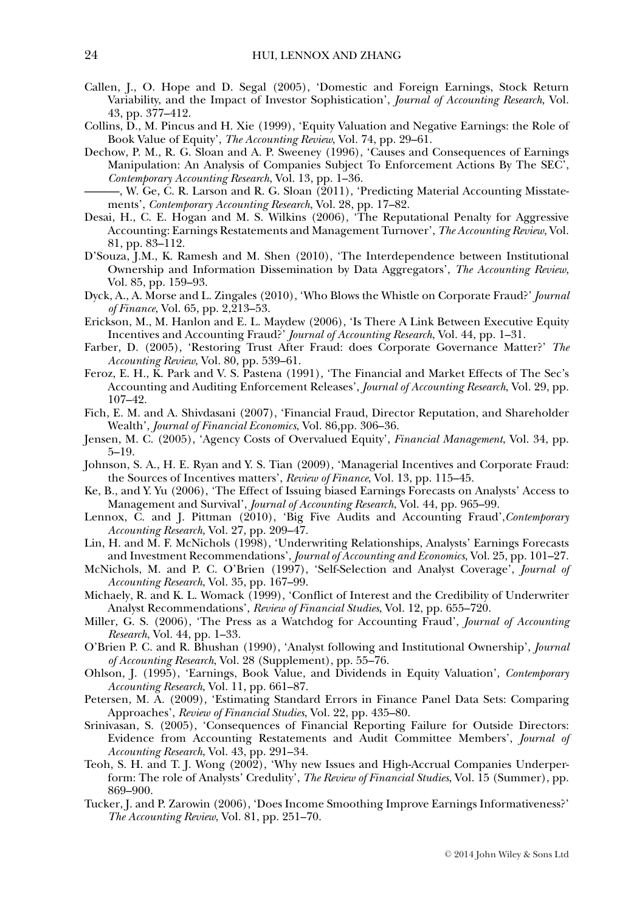- Callen, J., O. Hope and D. Segal (2005), 'Domestic and Foreign Earnings, Stock Return Variability, and the Impact of Investor Sophistication', *Journal of Accounting Research*, Vol. 43, pp. 377–412.
- Collins, D., M. Pincus and H. Xie (1999), 'Equity Valuation and Negative Earnings: the Role of Book Value of Equity', *The Accounting Review*, Vol. 74, pp. 29–61.
- Dechow, P. M., R. G. Sloan and A. P. Sweeney (1996), 'Causes and Consequences of Earnings Manipulation: An Analysis of Companies Subject To Enforcement Actions By The SEC', *Contemporary Accounting Research*, Vol. 13, pp. 1–36.
- ———, W. Ge, C. R. Larson and R. G. Sloan (2011), 'Predicting Material Accounting Misstatements', *Contemporary Accounting Research*, Vol. 28, pp. 17–82.
- Desai, H., C. E. Hogan and M. S. Wilkins (2006), 'The Reputational Penalty for Aggressive Accounting: Earnings Restatements and Management Turnover', *The Accounting Review*, Vol. 81, pp. 83–112.
- D'Souza, J.M., K. Ramesh and M. Shen (2010), 'The Interdependence between Institutional Ownership and Information Dissemination by Data Aggregators', *The Accounting Review*, Vol. 85, pp. 159–93.
- Dyck, A., A. Morse and L. Zingales (2010), 'Who Blows the Whistle on Corporate Fraud?' *Journal of Finance*, Vol. 65, pp. 2,213–53.
- Erickson, M., M. Hanlon and E. L. Maydew (2006), 'Is There A Link Between Executive Equity Incentives and Accounting Fraud?' *Journal of Accounting Research*, Vol. 44, pp. 1–31.
- Farber, D. (2005), 'Restoring Trust After Fraud: does Corporate Governance Matter?' *The Accounting Review*, Vol. 80, pp. 539–61.
- Feroz, E. H., K. Park and V. S. Pastena (1991), 'The Financial and Market Effects of The Sec's Accounting and Auditing Enforcement Releases', *Journal of Accounting Research*, Vol. 29, pp. 107–42.
- Fich, E. M. and A. Shivdasani (2007), 'Financial Fraud, Director Reputation, and Shareholder Wealth', *Journal of Financial Economics*, Vol. 86,pp. 306–36.
- Jensen, M. C. (2005), 'Agency Costs of Overvalued Equity', *Financial Management*, Vol. 34, pp. 5–19.
- Johnson, S. A., H. E. Ryan and Y. S. Tian (2009), 'Managerial Incentives and Corporate Fraud: the Sources of Incentives matters', *Review of Finance*, Vol. 13, pp. 115–45.
- Ke, B., and Y. Yu (2006), 'The Effect of Issuing biased Earnings Forecasts on Analysts' Access to Management and Survival', *Journal of Accounting Research*, Vol. 44, pp. 965–99.
- Lennox, C. and J. Pittman (2010), 'Big Five Audits and Accounting Fraud',*Contemporary Accounting Research*, Vol. 27, pp. 209–47.
- Lin, H. and M. F. McNichols (1998), 'Underwriting Relationships, Analysts' Earnings Forecasts and Investment Recommendations', *Journal of Accounting and Economics*, Vol. 25, pp. 101–27.
- McNichols, M. and P. C. O'Brien (1997), 'Self-Selection and Analyst Coverage', *Journal of Accounting Research*, Vol. 35, pp. 167–99.
- Michaely, R. and K. L. Womack (1999), 'Conflict of Interest and the Credibility of Underwriter Analyst Recommendations', *Review of Financial Studies*, Vol. 12, pp. 655–720.
- Miller, G. S. (2006), 'The Press as a Watchdog for Accounting Fraud', *Journal of Accounting Research*, Vol. 44, pp. 1–33.
- O'Brien P. C. and R. Bhushan (1990), 'Analyst following and Institutional Ownership', *Journal of Accounting Research*, Vol. 28 (Supplement), pp. 55–76.
- Ohlson, J. (1995), 'Earnings, Book Value, and Dividends in Equity Valuation', *Contemporary Accounting Research*, Vol. 11, pp. 661–87.
- Petersen, M. A. (2009), 'Estimating Standard Errors in Finance Panel Data Sets: Comparing Approaches', *Review of Financial Studies*, Vol. 22, pp. 435–80.
- Srinivasan, S. (2005), 'Consequences of Financial Reporting Failure for Outside Directors: Evidence from Accounting Restatements and Audit Committee Members', *Journal of Accounting Research*, Vol. 43, pp. 291–34.
- Teoh, S. H. and T. J. Wong (2002), 'Why new Issues and High-Accrual Companies Underperform: The role of Analysts' Credulity', *The Review of Financial Studies*, Vol. 15 (Summer), pp. 869–900.
- Tucker, J. and P. Zarowin (2006), 'Does Income Smoothing Improve Earnings Informativeness?' *The Accounting Review*, Vol. 81, pp. 251–70.